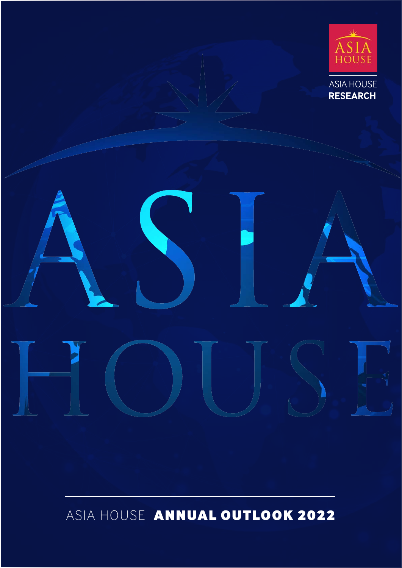

ASIA HOUSE ANNUAL OUTLOOK 2022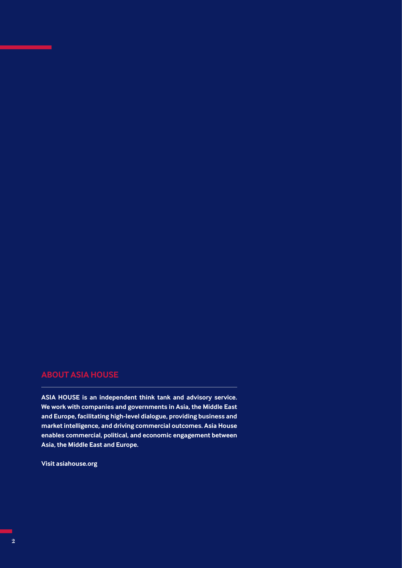# **ABOUT ASIA HOUSE**

**ASIA HOUSE is an independent think tank and advisory service. We work with companies and governments in Asia, the Middle East and Europe, facilitating high-level dialogue, providing business and market intelligence, and driving commercial outcomes. Asia House enables commercial, political, and economic engagement between Asia, the Middle East and Europe.**

**Visit asiahouse.org**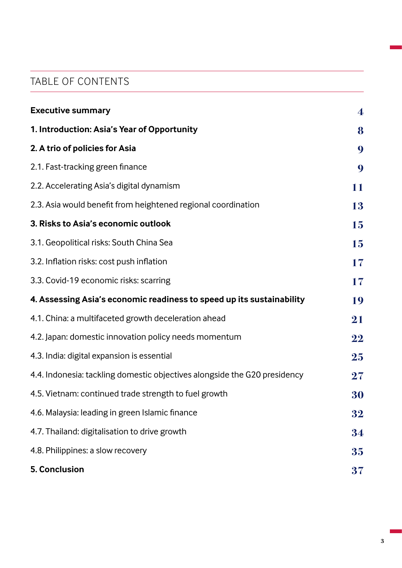# TABLE OF CONTENTS

| <b>Executive summary</b>                                                  | $\overline{4}$ |
|---------------------------------------------------------------------------|----------------|
| 1. Introduction: Asia's Year of Opportunity                               | 8              |
| 2. A trio of policies for Asia                                            | 9              |
| 2.1. Fast-tracking green finance                                          | 9              |
| 2.2. Accelerating Asia's digital dynamism                                 | 11             |
| 2.3. Asia would benefit from heightened regional coordination             | 13             |
| 3. Risks to Asia's economic outlook                                       | 15             |
| 3.1. Geopolitical risks: South China Sea                                  | 15             |
| 3.2. Inflation risks: cost push inflation                                 | 17             |
| 3.3. Covid-19 economic risks: scarring                                    | 17             |
| 4. Assessing Asia's economic readiness to speed up its sustainability     | 19             |
| 4.1. China: a multifaceted growth deceleration ahead                      | 21             |
| 4.2. Japan: domestic innovation policy needs momentum                     | 22             |
| 4.3. India: digital expansion is essential                                | 25             |
| 4.4. Indonesia: tackling domestic objectives alongside the G20 presidency | $\bf{27}$      |
| 4.5. Vietnam: continued trade strength to fuel growth                     | 30             |
| 4.6. Malaysia: leading in green Islamic finance                           | 32             |
| 4.7. Thailand: digitalisation to drive growth                             | 34             |
| 4.8. Philippines: a slow recovery                                         | 35             |
| <b>5. Conclusion</b>                                                      | 37             |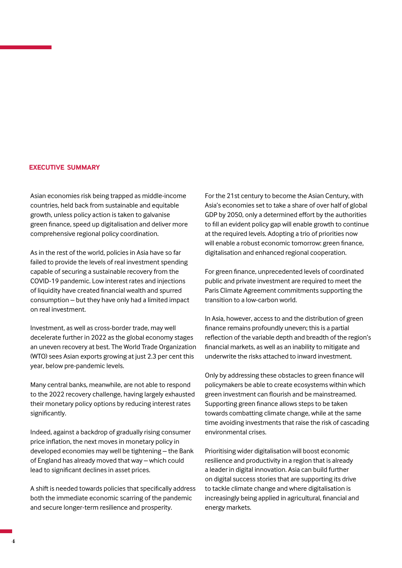#### **EXECUTIVE SUMMARY**

Asian economies risk being trapped as middle-income countries, held back from sustainable and equitable growth, unless policy action is taken to galvanise green finance, speed up digitalisation and deliver more comprehensive regional policy coordination.

As in the rest of the world, policies in Asia have so far failed to provide the levels of real investment spending capable of securing a sustainable recovery from the COVID-19 pandemic. Low interest rates and injections of liquidity have created financial wealth and spurred consumption – but they have only had a limited impact on real investment.

Investment, as well as cross-border trade, may well decelerate further in 2022 as the global economy stages an uneven recovery at best. The World Trade Organization (WTO) sees Asian exports growing at just 2.3 per cent this year, below pre-pandemic levels.

Many central banks, meanwhile, are not able to respond to the 2022 recovery challenge, having largely exhausted their monetary policy options by reducing interest rates significantly.

Indeed, against a backdrop of gradually rising consumer price inflation, the next moves in monetary policy in developed economies may well be tightening – the Bank of England has already moved that way – which could lead to significant declines in asset prices.

A shift is needed towards policies that specifically address both the immediate economic scarring of the pandemic and secure longer-term resilience and prosperity.

For the 21st century to become the Asian Century, with Asia's economies set to take a share of over half of global GDP by 2050, only a determined effort by the authorities to fill an evident policy gap will enable growth to continue at the required levels. Adopting a trio of priorities now will enable a robust economic tomorrow: green finance, digitalisation and enhanced regional cooperation.

For green finance, unprecedented levels of coordinated public and private investment are required to meet the Paris Climate Agreement commitments supporting the transition to a low-carbon world.

In Asia, however, access to and the distribution of green finance remains profoundly uneven; this is a partial reflection of the variable depth and breadth of the region's financial markets, as well as an inability to mitigate and underwrite the risks attached to inward investment.

Only by addressing these obstacles to green finance will policymakers be able to create ecosystems within which green investment can flourish and be mainstreamed. Supporting green finance allows steps to be taken towards combatting climate change, while at the same time avoiding investments that raise the risk of cascading environmental crises.

Prioritising wider digitalisation will boost economic resilience and productivity in a region that is already a leader in digital innovation. Asia can build further on digital success stories that are supporting its drive to tackle climate change and where digitalisation is increasingly being applied in agricultural, financial and energy markets.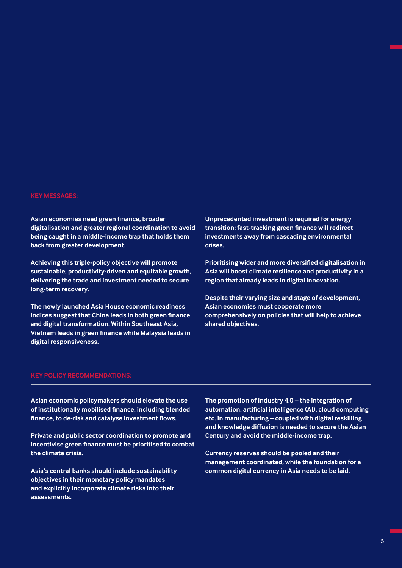#### **KEY MESSAGES:**

**Asian economies need green finance, broader digitalisation and greater regional coordination to avoid being caught in a middle-income trap that holds them back from greater development.** 

**Achieving this triple-policy objective will promote sustainable, productivity-driven and equitable growth, delivering the trade and investment needed to secure long-term recovery.**

**The newly launched Asia House economic readiness indices suggest that China leads in both green finance and digital transformation. Within Southeast Asia, Vietnam leads in green finance while Malaysia leads in digital responsiveness.**

**Unprecedented investment is required for energy transition: fast-tracking green finance will redirect investments away from cascading environmental crises.**

**Prioritising wider and more diversified digitalisation in Asia will boost climate resilience and productivity in a region that already leads in digital innovation.**

**Despite their varying size and stage of development, Asian economies must cooperate more comprehensively on policies that will help to achieve shared objectives.**

#### **KEY POLICY RECOMMENDATIONS:**

**Asian economic policymakers should elevate the use of institutionally mobilised finance, including blended finance, to de-risk and catalyse investment flows.**

**Private and public sector coordination to promote and incentivise green finance must be prioritised to combat the climate crisis.**

**Asia's central banks should include sustainability objectives in their monetary policy mandates and explicitly incorporate climate risks into their assessments.**

**The promotion of Industry 4.0 – the integration of automation, artificial intelligence (AI), cloud computing etc. in manufacturing – coupled with digital reskilling and knowledge diffusion is needed to secure the Asian Century and avoid the middle-income trap.**

**Currency reserves should be pooled and their management coordinated, while the foundation for a common digital currency in Asia needs to be laid.**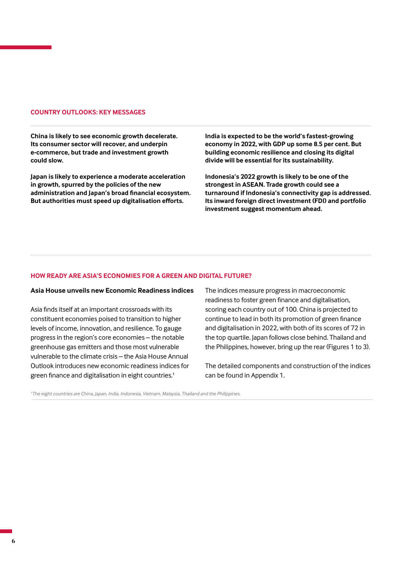#### **COUNTRY OUTLOOKS: KEY MESSAGES**

**China is likely to see economic growth decelerate. Its consumer sector will recover, and underpin e-commerce, but trade and investment growth could slow.**

**Japan is likely to experience a moderate acceleration in growth, spurred by the policies of the new administration and Japan's broad financial ecosystem. But authorities must speed up digitalisation efforts.**

**India is expected to be the world's fastest-growing economy in 2022, with GDP up some 8.5 per cent. But building economic resilience and closing its digital divide will be essential for its sustainability.** 

**Indonesia's 2022 growth is likely to be one of the strongest in ASEAN. Trade growth could see a turnaround if Indonesia's connectivity gap is addressed. Its inward foreign direct investment (FDI) and portfolio investment suggest momentum ahead.**

#### **HOW READY ARE ASIA'S ECONOMIES FOR A GREEN AND DIGITAL FUTURE?**

#### **Asia House unveils new Economic Readiness indices**

Asia finds itself at an important crossroads with its constituent economies poised to transition to higher levels of income, innovation, and resilience. To gauge progress in the region's core economies – the notable greenhouse gas emitters and those most vulnerable vulnerable to the climate crisis – the Asia House Annual Outlook introduces new economic readiness indices for green finance and digitalisation in eight countries.<sup>1</sup>

The indices measure progress in macroeconomic readiness to foster green finance and digitalisation, scoring each country out of 100. China is projected to continue to lead in both its promotion of green finance and digitalisation in 2022, with both of its scores of 72 in the top quartile. Japan follows close behind. Thailand and the Philippines, however, bring up the rear (Figures 1 to 3).

The detailed components and construction of the indices can be found in Appendix 1.

*1 The eight countries are China, Japan, India, Indonesia, Vietnam, Malaysia, Thailand and the Philippines.*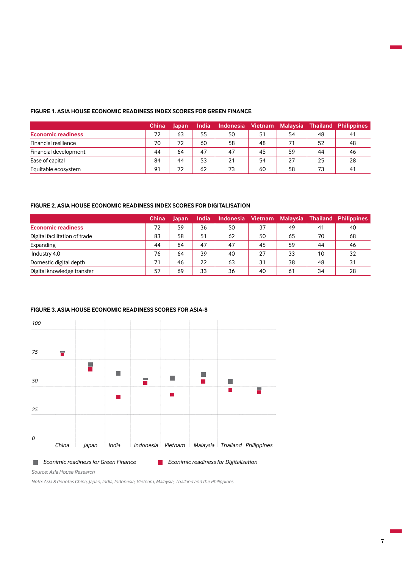#### **FIGURE 1. ASIA HOUSE ECONOMIC READINESS INDEX SCORES FOR GREEN FINANCE**

|                           | <b>China</b> | Japan | <b>India</b> |    |    |    |     | Indonesia Vietnam Malaysia Thailand Philippines |
|---------------------------|--------------|-------|--------------|----|----|----|-----|-------------------------------------------------|
| <b>Economic readiness</b> | 72           | 63    | 55           | 50 | 51 | 54 | -48 | 41                                              |
| Financial resilience      | 70           | 72    | 60           | 58 | 48 | 71 | 52  | 48                                              |
| Financial development     | 44           | 64    | 47           | 47 | 45 | 59 | 44  | 46                                              |
| Ease of capital           | 84           | 44    | 53           | 21 | 54 | 27 | 25  | 28                                              |
| Equitable ecosystem       | 91           | 72    | 62           | 73 | 60 | 58 | 73  | 41                                              |

## **FIGURE 2. ASIA HOUSE ECONOMIC READINESS INDEX SCORES FOR DIGITALISATION**

|                               | <b>China</b> | Japan | <b>India</b> | Indonesia Vietnam |    | Malaysia |    | Thailand Philippines |
|-------------------------------|--------------|-------|--------------|-------------------|----|----------|----|----------------------|
| <b>Economic readiness</b>     | 72           | 59    | 36           | 50                | 37 | 49       | 41 | 40                   |
| Digital facilitation of trade | 83           | 58    | 51           | 62                | 50 | 65       | 70 | 68                   |
| Expanding                     | 44           | 64    | 47           | 47                | 45 | 59       | 44 | 46                   |
| Industry 4.0                  | 76           | 64    | 39           | 40                | 27 | 33       | 10 | 32                   |
| Domestic digital depth        | 71           | 46    | 22           | 63                | 31 | 38       | 48 | 31                   |
| Digital knowledge transfer    | 57           | 69    | 33           | 36                | 40 | 61       | 34 | 28                   |

## **FIGURE 3. ASIA HOUSE ECONOMIC READINESS SCORES FOR ASIA-8**



*Econimic readiness for Green Finance Econimic readiness for Digitalisation*

*Source: Asia House Research*

*Note: Asia 8 denotes China, Japan, India, Indonesia, Vietnam, Malaysia, Thailand and the Philippines.*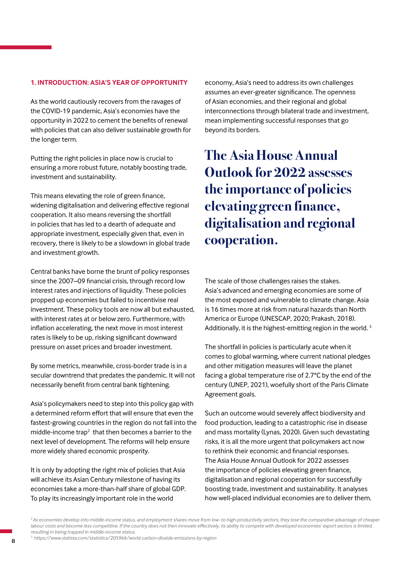### **1. INTRODUCTION: ASIA'S YEAR OF OPPORTUNITY**

As the world cautiously recovers from the ravages of the COVID-19 pandemic, Asia's economies have the opportunity in 2022 to cement the benefits of renewal with policies that can also deliver sustainable growth for the longer term.

Putting the right policies in place now is crucial to ensuring a more robust future, notably boosting trade, investment and sustainability.

This means elevating the role of green finance, widening digitalisation and delivering effective regional cooperation. It also means reversing the shortfall in policies that has led to a dearth of adequate and appropriate investment, especially given that, even in recovery, there is likely to be a slowdown in global trade and investment growth.

Central banks have borne the brunt of policy responses since the 2007–09 financial crisis, through record low interest rates and injections of liquidity. These policies propped up economies but failed to incentivise real investment. These policy tools are now all but exhausted, with interest rates at or below zero. Furthermore, with inflation accelerating, the next move in most interest rates is likely to be up, risking significant downward pressure on asset prices and broader investment.

By some metrics, meanwhile, cross-border trade is in a secular downtrend that predates the pandemic. It will not necessarily benefit from central bank tightening.

Asia's policymakers need to step into this policy gap with a determined reform effort that will ensure that even the fastest-growing countries in the region do not fall into the middle-income trap<sup>2</sup> that then becomes a barrier to the next level of development. The reforms will help ensure more widely shared economic prosperity.

It is only by adopting the right mix of policies that Asia will achieve its Asian Century milestone of having its economies take a more-than-half share of global GDP. To play its increasingly important role in the world

economy, Asia's need to address its own challenges assumes an ever-greater significance. The openness of Asian economies, and their regional and global interconnections through bilateral trade and investment, mean implementing successful responses that go beyond its borders.

**The Asia House Annual Outlook for 2022 assesses the importance of policies elevating green finance, digitalisation and regional cooperation.** 

The scale of those challenges raises the stakes. Asia's advanced and emerging economies are some of the most exposed and vulnerable to climate change. Asia is 16 times more at risk from natural hazards than North America or Europe (UNESCAP, 2020; Prakash, 2018). Additionally, it is the highest-emitting region in the world.<sup>3</sup>

The shortfall in policies is particularly acute when it comes to global warming, where current national pledges and other mitigation measures will leave the planet facing a global temperature rise of 2.7°C by the end of the century (UNEP, 2021), woefully short of the Paris Climate Agreement goals.

Such an outcome would severely affect biodiversity and food production, leading to a catastrophic rise in disease and mass mortality (Lynas, 2020). Given such devastating risks, it is all the more urgent that policymakers act now to rethink their economic and financial responses. The Asia House Annual Outlook for 2022 assesses the importance of policies elevating green finance, digitalisation and regional cooperation for successfully boosting trade, investment and sustainability. It analyses how well-placed individual economies are to deliver them.

*<sup>3</sup>https://www.statista.com/statistics/205966/world-carbon-dioxide-emissions-by-region*

*<sup>2</sup> As economies develop into middle-income status, and employment shares move from low- to high-productivity sectors, they lose the comparative advantage of cheaper*  labour costs and become less competitive. If the country does not then innovate effectively, its ability to compete with developed economies' export sectors is limited, *resulting in being trapped in middle-income status.*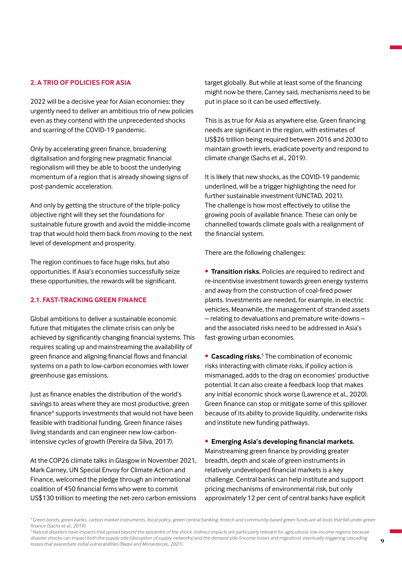## **2. A TRIO OF POLICIES FOR ASIA**

2022 will be a decisive year for Asian economies: they urgently need to deliver an ambitious trio of new policies even as they contend with the unprecedented shocks and scarring of the COVID-19 pandemic.

Only by accelerating green finance, broadening digitalisation and forging new pragmatic financial regionalism will they be able to boost the underlying momentum of a region that is already showing signs of post-pandemic acceleration.

And only by getting the structure of the triple-policy objective right will they set the foundations for sustainable future growth and avoid the middle-income trap that would hold them back from moving to the next level of development and prosperity.

The region continues to face huge risks, but also opportunities. If Asia's economies successfully seize these opportunities, the rewards will be significant.

## **2.1. FAST-TRACKING GREEN FINANCE**

Global ambitions to deliver a sustainable economic future that mitigates the climate crisis can only be achieved by significantly changing financial systems. This requires scaling up and mainstreaming the availability of green finance and aligning financial flows and financial systems on a path to low-carbon economies with lower greenhouse gas emissions.

Just as finance enables the distribution of the world's savings to areas where they are most productive, green finance<sup>4</sup> supports investments that would not have been feasible with traditional funding. Green finance raises living standards and can engineer new low-carbonintensive cycles of growth (Pereira da Silva, 2017).

At the COP26 climate talks in Glasgow in November 2021, Mark Carney, UN Special Envoy for Climate Action and Finance, welcomed the pledge through an international coalition of 450 financial firms who were to commit US\$130 trillion to meeting the net-zero carbon emissions target globally. But while at least some of the financing might now be there, Carney said, mechanisms need to be put in place so it can be used effectively.

This is as true for Asia as anywhere else. Green financing needs are significant in the region, with estimates of US\$26 trillion being required between 2016 and 2030 to maintain growth levels, eradicate poverty and respond to climate change (Sachs et al., 2019).

It is likely that new shocks, as the COVID-19 pandemic underlined, will be a trigger highlighting the need for further sustainable investment (UNCTAD, 2021). The challenge is how most effectively to utilise the growing pools of available finance. These can only be channelled towards climate goals with a realignment of the financial system.

There are the following challenges:

• **Transition risks.** Policies are required to redirect and re-incentivise investment towards green energy systems and away from the construction of coal-fired power plants. Investments are needed, for example, in electric vehicles. Meanwhile, the management of stranded assets – relating to devaluations and premature write-downs – and the associated risks need to be addressed in Asia's fast-growing urban economies.

**Cascading risks.**<sup>5</sup> The combination of economic risks interacting with climate risks, if policy action is mismanaged, adds to the drag on economies' productive potential. It can also create a feedback loop that makes any initial economic shock worse (Lawrence et al., 2020). Green finance can stop or mitigate some of this spillover because of its ability to provide liquidity, underwrite risks and institute new funding pathways.

• **Emerging Asia's developing financial markets.** Mainstreaming green finance by providing greater breadth, depth and scale of green instruments in relatively undeveloped financial markets is a key challenge. Central banks can help institute and support pricing mechanisms of environmental risk, but only approximately 12 per cent of central banks have explicit

*<sup>4</sup>Green bonds, green banks, carbon market instruments, fiscal policy, green central banking, fintech and community-based green funds are all tools that fall under green finance (Sachs et al., 2019).* 

*<sup>5</sup> Natural disasters have impacts that spread beyond the epicentre of the shock. Indirect impacts are particularly relevant for agricultural, low-income regions because*  disaster shocks can impact both the supply side (disruption of supply networks) and the demand side (income losses and migration), eventually triggering cascading *losses that exacerbate initial vulnerabilities (Naqvi and Monasterolo, 2021).*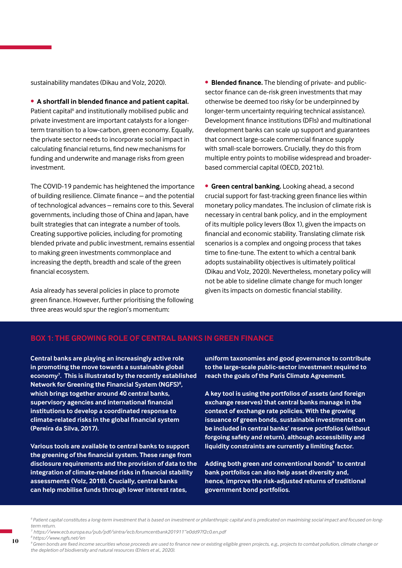sustainability mandates (Dikau and Volz, 2020).

• **A shortfall in blended finance and patient capital.**  Patient capital<sup>6</sup> and institutionally mobilised public and private investment are important catalysts for a longerterm transition to a low-carbon, green economy. Equally, the private sector needs to incorporate social impact in calculating financial returns, find new mechanisms for funding and underwrite and manage risks from green investment.

The COVID-19 pandemic has heightened the importance of building resilience. Climate finance – and the potential of technological advances – remains core to this. Several governments, including those of China and Japan, have built strategies that can integrate a number of tools. Creating supportive policies, including for promoting blended private and public investment, remains essential to making green investments commonplace and increasing the depth, breadth and scale of the green financial ecosystem.

Asia already has several policies in place to promote green finance. However, further prioritising the following three areas would spur the region's momentum:

• **Blended finance.** The blending of private- and publicsector finance can de-risk green investments that may otherwise be deemed too risky (or be underpinned by longer-term uncertainty requiring technical assistance). Development finance institutions (DFIs) and multinational development banks can scale up support and guarantees that connect large-scale commercial finance supply with small-scale borrowers. Crucially, they do this from multiple entry points to mobilise widespread and broaderbased commercial capital (OECD, 2021b).

• **Green central banking.** Looking ahead, a second crucial support for fast-tracking green finance lies within monetary policy mandates. The inclusion of climate risk is necessary in central bank policy, and in the employment of its multiple policy levers (Box 1), given the impacts on financial and economic stability. Translating climate risk scenarios is a complex and ongoing process that takes time to fine-tune. The extent to which a central bank adopts sustainability objectives is ultimately political (Dikau and Volz, 2020). Nevertheless, monetary policy will not be able to sideline climate change for much longer given its impacts on domestic financial stability.

# **BOX 1: THE GROWING ROLE OF CENTRAL BANKS IN GREEN FINANCE**

**Central banks are playing an increasingly active role in promoting the move towards a sustainable global economy7 . This is illustrated by the recently established Network for Greening the Financial System (NGFS)<sup>8</sup> , which brings together around 40 central banks, supervisory agencies and international financial institutions to develop a coordinated response to climate-related risks in the global financial system (Pereira da Silva, 2017).**

**Various tools are available to central banks to support the greening of the financial system. These range from disclosure requirements and the provision of data to the integration of climate-related risks in financial stability assessments (Volz, 2018). Crucially, central banks can help mobilise funds through lower interest rates,** 

**uniform taxonomies and good governance to contribute to the large-scale public-sector investment required to reach the goals of the Paris Climate Agreement.**

**A key tool is using the portfolios of assets (and foreign exchange reserves) that central banks manage in the context of exchange rate policies. With the growing issuance of green bonds, sustainable investments can be included in central banks' reserve portfolios (without forgoing safety and return), although accessibility and liquidity constraints are currently a limiting factor.** 

Adding both green and conventional bonds<sup>9</sup> to central **bank portfolios can also help asset diversity and, hence, improve the risk-adjusted returns of traditional government bond portfolios.**

*<sup>6</sup> Patient capital constitutes a long-term investment that is based on investment or philanthropic capital and is predicated on maximising social impact and focused on longterm return.*

*<sup>7</sup> https://www.ecb.europa.eu/pub/pdf/sintra/ecb.forumcentbank201911~e0dd97f2c0.en.pdf 8 https://www.ngfs.net/en*

*<sup>9</sup>Green bonds are fixed income securities whose proceeds are used to finance new or existing eligible green projects, e.g., projects to combat pollution, climate change or the depletion of biodiversity and natural resources (Ehlers et al., 2020).*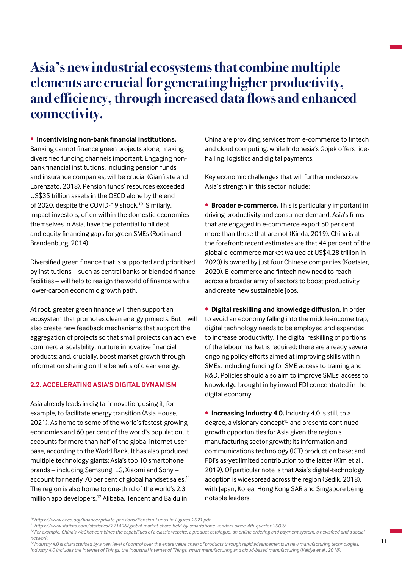# **Asia's new industrial ecosystems that combine multiple elements are crucial for generating higher productivity, and efficiency, through increased data flows and enhanced connectivity.**

## • **Incentivising non-bank financial institutions.**

Banking cannot finance green projects alone, making diversified funding channels important. Engaging nonbank financial institutions, including pension funds and insurance companies, will be crucial (Gianfrate and Lorenzato, 2018). Pension funds' resources exceeded US\$35 trillion assets in the OECD alone by the end of 2020, despite the COVID-19 shock.<sup>10</sup> Similarly, impact investors, often within the domestic economies themselves in Asia, have the potential to fill debt and equity financing gaps for green SMEs (Rodin and Brandenburg, 2014).

Diversified green finance that is supported and prioritised by institutions – such as central banks or blended finance facilities – will help to realign the world of finance with a lower-carbon economic growth path.

At root, greater green finance will then support an ecosystem that promotes clean energy projects. But it will also create new feedback mechanisms that support the aggregation of projects so that small projects can achieve commercial scalability; nurture innovative financial products; and, crucially, boost market growth through information sharing on the benefits of clean energy.

#### **2.2. ACCELERATING ASIA'S DIGITAL DYNAMISM**

Asia already leads in digital innovation, using it, for example, to facilitate energy transition (Asia House, 2021). As home to some of the world's fastest-growing economies and 60 per cent of the world's population, it accounts for more than half of the global internet user base, according to the World Bank. It has also produced multiple technology giants: Asia's top 10 smartphone brands – including Samsung, LG, Xiaomi and Sony – account for nearly 70 per cent of global handset sales.<sup>11</sup> The region is also home to one-third of the world's 2.3 million app developers.12 Alibaba, Tencent and Baidu in

China are providing services from e-commerce to fintech and cloud computing, while Indonesia's Gojek offers ridehailing, logistics and digital payments.

Key economic challenges that will further underscore Asia's strength in this sector include:

• **Broader e-commerce.** This is particularly important in driving productivity and consumer demand. Asia's firms that are engaged in e-commerce export 50 per cent more than those that are not (Kinda, 2019). China is at the forefront: recent estimates are that 44 per cent of the global e-commerce market (valued at US\$4.28 trillion in 2020) is owned by just four Chinese companies (Koetsier, 2020). E-commerce and fintech now need to reach across a broader array of sectors to boost productivity and create new sustainable jobs.

• **Digital reskilling and knowledge diffusion.** In order to avoid an economy falling into the middle-income trap, digital technology needs to be employed and expanded to increase productivity. The digital reskilling of portions of the labour market is required: there are already several ongoing policy efforts aimed at improving skills within SMEs, including funding for SME access to training and R&D. Policies should also aim to improve SMEs' access to knowledge brought in by inward FDI concentrated in the digital economy.

• **Increasing Industry 4.0.** Industry 4.0 is still, to a degree, a visionary concept $13$  and presents continued growth opportunities for Asia given the region's manufacturing sector growth; its information and communications technology (ICT) production base; and FDI's as-yet limited contribution to the latter (Kim et al., 2019). Of particular note is that Asia's digital-technology adoption is widespread across the region (Sedik, 2018), with Japan, Korea, Hong Kong SAR and Singapore being notable leaders.

*<sup>10</sup>https://www.oecd.org/finance/private-pensions/Pension-Funds-in-Figures-2021.pdf*

*<sup>11</sup>https://www.statista.com/statistics/271496/global-market-share-held-by-smartphone-vendors-since-4th-quarter-2009/*

<sup>&</sup>lt;sup>12</sup>*For example, China's WeChat combines the capabilities of a classic website, a product catalogue, an online ordering and payment system, a newsfeed and a social network.* 

<sup>&</sup>lt;sup>13</sup> Industry 4.0 is characterised by a new level of control over the entire value chain of products through rapid advancements in new manufacturing technologies. *Industry 4.0 includes the Internet of Things, the Industrial Internet of Things, smart manufacturing and cloud-based manufacturing (Vaidya et al., 2018).*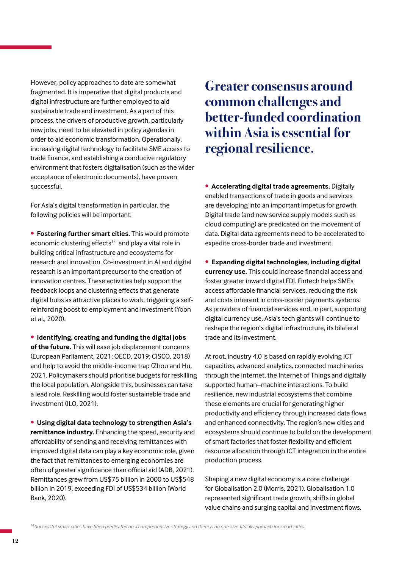However, policy approaches to date are somewhat fragmented. It is imperative that digital products and digital infrastructure are further employed to aid sustainable trade and investment. As a part of this process, the drivers of productive growth, particularly new jobs, need to be elevated in policy agendas in order to aid economic transformation. Operationally, increasing digital technology to facilitate SME access to trade finance, and establishing a conducive regulatory environment that fosters digitalisation (such as the wider acceptance of electronic documents), have proven successful.

For Asia's digital transformation in particular, the following policies will be important:

• **Fostering further smart cities.** This would promote economic clustering effects<sup>14</sup> and play a vital role in building critical infrastructure and ecosystems for research and innovation. Co-investment in AI and digital research is an important precursor to the creation of innovation centres. These activities help support the feedback loops and clustering effects that generate digital hubs as attractive places to work, triggering a selfreinforcing boost to employment and investment (Yoon et al., 2020).

• **Identifying, creating and funding the digital jobs of the future.** This will ease job displacement concerns (European Parliament, 2021; OECD, 2019; CISCO, 2018) and help to avoid the middle-income trap (Zhou and Hu, 2021. Policymakers should prioritise budgets for reskilling the local population. Alongside this, businesses can take a lead role. Reskilling would foster sustainable trade and investment (ILO, 2021).

• **Using digital data technology to strengthen Asia's remittance industry.** Enhancing the speed, security and affordability of sending and receiving remittances with improved digital data can play a key economic role, given the fact that remittances to emerging economies are often of greater significance than official aid (ADB, 2021). Remittances grew from US\$75 billion in 2000 to US\$548 billion in 2019, exceeding FDI of US\$534 billion (World Bank, 2020).

# **Greater consensus around common challenges and better-funded coordination within Asia is essential for regional resilience.**

• **Accelerating digital trade agreements.** Digitally enabled transactions of trade in goods and services are developing into an important impetus for growth. Digital trade (and new service supply models such as cloud computing) are predicated on the movement of data. Digital data agreements need to be accelerated to expedite cross-border trade and investment.

• **Expanding digital technologies, including digital currency use.** This could increase financial access and foster greater inward digital FDI. Fintech helps SMEs access affordable financial services, reducing the risk and costs inherent in cross-border payments systems. As providers of financial services and, in part, supporting digital currency use, Asia's tech giants will continue to reshape the region's digital infrastructure, its bilateral trade and its investment.

At root, industry 4.0 is based on rapidly evolving ICT capacities, advanced analytics, connected machineries through the internet, the Internet of Things and digitally supported human–machine interactions. To build resilience, new industrial ecosystems that combine these elements are crucial for generating higher productivity and efficiency through increased data flows and enhanced connectivity. The region's new cities and ecosystems should continue to build on the development of smart factories that foster flexibility and efficient resource allocation through ICT integration in the entire production process.

Shaping a new digital economy is a core challenge for Globalisation 2.0 (Morris, 2021). Globalisation 1.0 represented significant trade growth, shifts in global value chains and surging capital and investment flows.

*<sup>14</sup>Successful smart cities have been predicated on a comprehensive strategy and there is no one-size-fits-all approach for smart cities.*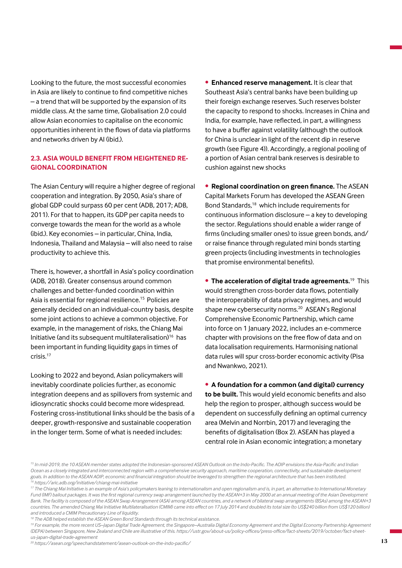Looking to the future, the most successful economies in Asia are likely to continue to find competitive niches – a trend that will be supported by the expansion of its middle class. At the same time, Globalisation 2.0 could allow Asian economies to capitalise on the economic opportunities inherent in the flows of data via platforms and networks driven by AI (ibid.).

# **2.3. ASIA WOULD BENEFIT FROM HEIGHTENED RE-GIONAL COORDINATION**

The Asian Century will require a higher degree of regional cooperation and integration. By 2050, Asia's share of global GDP could surpass 60 per cent (ADB, 2017; ADB, 2011). For that to happen, its GDP per capita needs to converge towards the mean for the world as a whole (ibid.). Key economies – in particular, China, India, Indonesia, Thailand and Malaysia – will also need to raise productivity to achieve this.

There is, however, a shortfall in Asia's policy coordination (ADB, 2018). Greater consensus around common challenges and better-funded coordination within Asia is essential for regional resilience.<sup>15</sup> Policies are generally decided on an individual-country basis, despite some joint actions to achieve a common objective. For example, in the management of risks, the Chiang Mai Initiative (and its subsequent multilateralisation)<sup>16</sup> has been important in funding liquidity gaps in times of crisis.17

Looking to 2022 and beyond, Asian policymakers will inevitably coordinate policies further, as economic integration deepens and as spillovers from systemic and idiosyncratic shocks could become more widespread. Fostering cross-institutional links should be the basis of a deeper, growth-responsive and sustainable cooperation in the longer term. Some of what is needed includes:

• **Enhanced reserve management.** It is clear that Southeast Asia's central banks have been building up their foreign exchange reserves. Such reserves bolster the capacity to respond to shocks. Increases in China and India, for example, have reflected, in part, a willingness to have a buffer against volatility (although the outlook for China is unclear in light of the recent dip in reserve growth (see Figure 4)). Accordingly, a regional pooling of a portion of Asian central bank reserves is desirable to cushion against new shocks

• **Regional coordination on green finance.** The ASEAN Capital Markets Forum has developed the ASEAN Green Bond Standards,<sup>18</sup> which include requirements for continuous information disclosure – a key to developing the sector. Regulations should enable a wider range of firms (including smaller ones) to issue green bonds, and/ or raise finance through regulated mini bonds starting green projects (including investments in technologies that promise environmental benefits).

• **The acceleration of digital trade agreements.**19 This would strengthen cross-border data flows, potentially the interoperability of data privacy regimes, and would shape new cybersecurity norms.<sup>20</sup> ASEAN's Regional Comprehensive Economic Partnership, which came into force on 1 January 2022, includes an e-commerce chapter with provisions on the free flow of data and on data localisation requirements. Harmonising national data rules will spur cross-border economic activity (Pisa and Nwankwo, 2021).

• **A foundation for a common (and digital) currency to be built.** This would yield economic benefits and also help the region to prosper, although success would be dependent on successfully defining an optimal currency area (Melvin and Norrbin, 2017) and leveraging the benefits of digitalisation (Box 2). ASEAN has played a central role in Asian economic integration; a monetary

*<sup>19</sup> For example, the more recent US–Japan Digital Trade Agreement, the Singapore–Australia Digital Economy Agreement and the Digital Economy Partnership Agreement (DEPA) between Singapore, New Zealand and Chile are illustrative of this. https://ustr.gov/about-us/policy-offices/press-office/fact-sheets/2019/october/fact-sheetus-japan-digital-trade-agreement* 

*20 https://asean.org/speechandstatement/asean-outlook-on-the-indo-pacific/*

<sup>&</sup>lt;sup>15</sup> In mid-2019, the 10 ASEAN member states adopted the Indonesian-sponsored ASEAN Outlook on the Indo-Pacific. The AOIP envisions the Asia-Pacific and Indian *Ocean as a closely integrated and interconnected region with a comprehensive security approach, maritime cooperation, connectivity, and sustainable development goals. In addition to the ASEAN AOIP, economic and financial integration should be leveraged to strengthen the regional architecture that has been instituted. 16 https://aric.adb.org/initiative/chiang-mai-initiative*

<sup>&</sup>lt;sup>17</sup> The Chiang Mai Initiative is an example of Asia's policymakers leaning to internationalism and open regionalism and is, in part, an alternatione o International Monetary *Fund (IMF) bailout packages. It was the first regional currency swap arrangement launched by the ASEAN+3 in May 2000 at an annual meeting of the Asian Development Bank. The facility is composed of the ASEAN Swap Arrangement (ASA) among ASEAN countries, and a network of bilateral swap arrangements (BSAs) among the ASEAN+3 countries. The amended Chiang Mai Initiative Multilateralisation (CMIM) came into effect on 17 July 2014 and doubled its total size (to US\$240 billion from US\$120 billion) and introduced a CMIM Precautionary Line of liquidity.*

*<sup>18</sup> The ADB helped establish the ASEAN Green Bond Standards through its technical assistance.*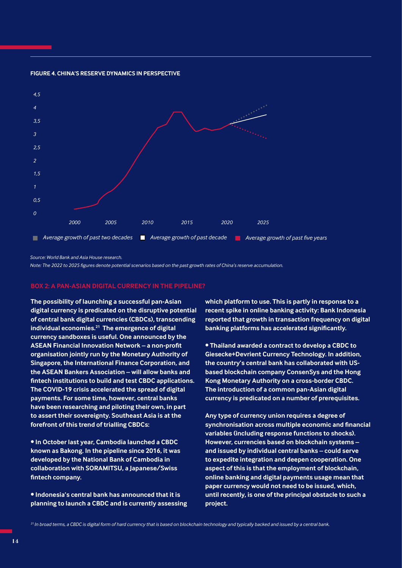

#### **FIGURE 4. CHINA'S RESERVE DYNAMICS IN PERSPECTIVE**

*Source: World Bank and Asia House research.* 

*Note: The 2022 to 2025 figures denote potential scenarios based on the past growth rates of China's reserve accumulation.*

#### **BOX 2: A PAN-ASIAN DIGITAL CURRENCY IN THE PIPELINE?**

**The possibility of launching a successful pan-Asian digital currency is predicated on the disruptive potential of central bank digital currencies (CBDCs), transcending individual economies.21 The emergence of digital currency sandboxes is useful. One announced by the ASEAN Financial Innovation Network – a non-profit organisation jointly run by the Monetary Authority of Singapore, the International Finance Corporation, and the ASEAN Bankers Association – will allow banks and fintech institutions to build and test CBDC applications. The COVID-19 crisis accelerated the spread of digital payments. For some time, however, central banks have been researching and piloting their own, in part to assert their sovereignty. Southeast Asia is at the forefront of this trend of trialling CBDCs:** 

**• In October last year, Cambodia launched a CBDC known as Bakong. In the pipeline since 2016, it was developed by the National Bank of Cambodia in collaboration with SORAMITSU, a Japanese/Swiss fintech company.**

**• Indonesia's central bank has announced that it is planning to launch a CBDC and is currently assessing**  **which platform to use. This is partly in response to a recent spike in online banking activity: Bank Indonesia reported that growth in transaction frequency on digital banking platforms has accelerated significantly.**

**• Thailand awarded a contract to develop a CBDC to Giesecke+Devrient Currency Technology. In addition, the country's central bank has collaborated with USbased blockchain company ConsenSys and the Hong Kong Monetary Authority on a cross-border CBDC. The introduction of a common pan-Asian digital currency is predicated on a number of prerequisites.** 

**Any type of currency union requires a degree of synchronisation across multiple economic and financial variables (including response functions to shocks). However, currencies based on blockchain systems – and issued by individual central banks – could serve to expedite integration and deepen cooperation. One aspect of this is that the employment of blockchain, online banking and digital payments usage mean that paper currency would not need to be issued, which, until recently, is one of the principal obstacle to such a project.** 

*21 In broad terms, a CBDC is digital form of hard currency that is based on blockchain technology and typically backed and issued by a central bank.*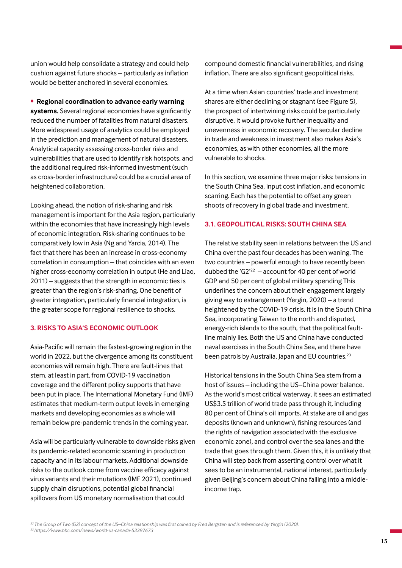union would help consolidate a strategy and could help cushion against future shocks – particularly as inflation would be better anchored in several economies.

• **Regional coordination to advance early warning systems.** Several regional economies have significantly reduced the number of fatalities from natural disasters. More widespread usage of analytics could be employed in the prediction and management of natural disasters. Analytical capacity assessing cross-border risks and vulnerabilities that are used to identify risk hotspots, and the additional required risk-informed investment (such as cross-border infrastructure) could be a crucial area of heightened collaboration.

Looking ahead, the notion of risk-sharing and risk management is important for the Asia region, particularly within the economies that have increasingly high levels of economic integration. Risk-sharing continues to be comparatively low in Asia (Ng and Yarcia, 2014). The fact that there has been an increase in cross-economy correlation in consumption – that coincides with an even higher cross-economy correlation in output (He and Liao, 2011) – suggests that the strength in economic ties is greater than the region's risk-sharing. One benefit of greater integration, particularly financial integration, is the greater scope for regional resilience to shocks.

# **3. RISKS TO ASIA'S ECONOMIC OUTLOOK**

Asia-Pacific will remain the fastest-growing region in the world in 2022, but the divergence among its constituent economies will remain high. There are fault-lines that stem, at least in part, from COVID-19 vaccination coverage and the different policy supports that have been put in place. The International Monetary Fund (IMF) estimates that medium-term output levels in emerging markets and developing economies as a whole will remain below pre-pandemic trends in the coming year.

Asia will be particularly vulnerable to downside risks given its pandemic-related economic scarring in production capacity and in its labour markets. Additional downside risks to the outlook come from vaccine efficacy against virus variants and their mutations (IMF 2021), continued supply chain disruptions, potential global financial spillovers from US monetary normalisation that could

compound domestic financial vulnerabilities, and rising inflation. There are also significant geopolitical risks.

At a time when Asian countries' trade and investment shares are either declining or stagnant (see Figure 5), the prospect of intertwining risks could be particularly disruptive. It would provoke further inequality and unevenness in economic recovery. The secular decline in trade and weakness in investment also makes Asia's economies, as with other economies, all the more vulnerable to shocks.

In this section, we examine three major risks: tensions in the South China Sea, input cost inflation, and economic scarring. Each has the potential to offset any green shoots of recovery in global trade and investment.

## **3.1. GEOPOLITICAL RISKS: SOUTH CHINA SEA**

The relative stability seen in relations between the US and China over the past four decades has been waning. The two countries – powerful enough to have recently been dubbed the 'G2' $^{22}$  – account for 40 per cent of world GDP and 50 per cent of global military spending This underlines the concern about their engagement largely giving way to estrangement (Yergin, 2020) – a trend heightened by the COVID-19 crisis. It is in the South China Sea, incorporating Taiwan to the north and disputed, energy-rich islands to the south, that the political faultline mainly lies. Both the US and China have conducted naval exercises in the South China Sea, and there have been patrols by Australia, Japan and EU countries.<sup>23</sup>

Historical tensions in the South China Sea stem from a host of issues – including the US–China power balance. As the world's most critical waterway, it sees an estimated US\$3.5 trillion of world trade pass through it, including 80 per cent of China's oil imports. At stake are oil and gas deposits (known and unknown), fishing resources (and the rights of navigation associated with the exclusive economic zone), and control over the sea lanes and the trade that goes through them. Given this, it is unlikely that China will step back from asserting control over what it sees to be an instrumental, national interest, particularly given Beijing's concern about China falling into a middleincome trap.

*<sup>22</sup>The Group of Two (G2) concept of the US–China relationship was first coined by Fred Bergsten and is referenced by Yergin (2020). 23 https://www.bbc.com/news/world-us-canada-53397673*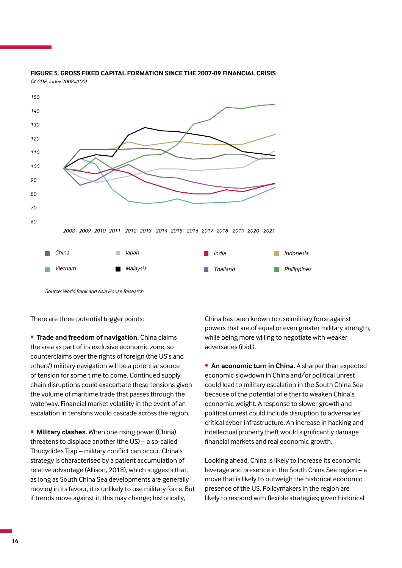

### **FIGURE 5. GROSS FIXED CAPITAL FORMATION SINCE THE 2007-09 FINANCIAL CRISIS** *(% GDP, Index 2008=100)*

*Source: World Bank and Asia House Research.* 

There are three potential trigger points:

• **Trade and freedom of navigation.** China claims the area as part of its exclusive economic zone, so counterclaims over the rights of foreign (the US's and others') military navigation will be a potential source of tension for some time to come. Continued supply chain disruptions could exacerbate these tensions given the volume of maritime trade that passes through the waterway. Financial market volatility in the event of an escalation in tensions would cascade across the region.

• **Military clashes.** When one rising power (China) threatens to displace another (the US) – a so-called Thucydides Trap – military conflict can occur. China's strategy is characterised by a patient accumulation of relative advantage (Allison, 2018), which suggests that, as long as South China Sea developments are generally moving in its favour, it is unlikely to use military force. But if trends move against it, this may change; historically,

China has been known to use military force against powers that are of equal or even greater military strength, while being more willing to negotiate with weaker adversaries (ibid.).

**• An economic turn in China.** A sharper than expected economic slowdown in China and/or political unrest could lead to military escalation in the South China Sea because of the potential of either to weaken China's economic weight. A response to slower growth and political unrest could include disruption to adversaries' critical cyber-infrastructure. An increase in hacking and intellectual property theft would significantly damage financial markets and real economic growth.

Looking ahead, China is likely to increase its economic leverage and presence in the South China Sea region – a move that is likely to outweigh the historical economic presence of the US. Policymakers in the region are likely to respond with flexible strategies; given historical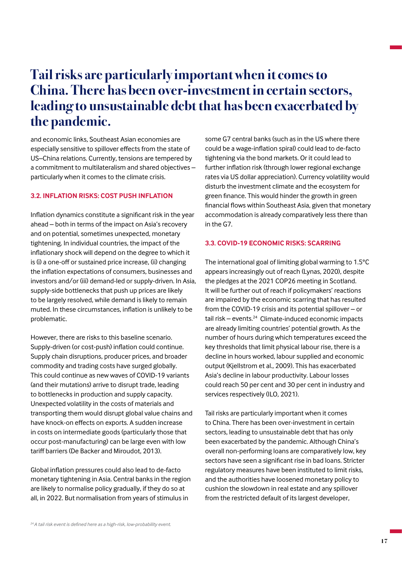# **Tail risks are particularly important when it comes to China. There has been over-investment in certain sectors, leading to unsustainable debt that has been exacerbated by the pandemic.**

and economic links, Southeast Asian economies are especially sensitive to spillover effects from the state of US–China relations. Currently, tensions are tempered by a commitment to multilateralism and shared objectives – particularly when it comes to the climate crisis.

## **3.2. INFLATION RISKS: COST PUSH INFLATION**

Inflation dynamics constitute a significant risk in the year ahead – both in terms of the impact on Asia's recovery and on potential, sometimes unexpected, monetary tightening. In individual countries, the impact of the inflationary shock will depend on the degree to which it is (i) a one-off or sustained price increase, (ii) changing the inflation expectations of consumers, businesses and investors and/or (iii) demand-led or supply-driven. In Asia, supply-side bottlenecks that push up prices are likely to be largely resolved, while demand is likely to remain muted. In these circumstances, inflation is unlikely to be problematic.

However, there are risks to this baseline scenario. Supply-driven (or cost-push) inflation could continue. Supply chain disruptions, producer prices, and broader commodity and trading costs have surged globally. This could continue as new waves of COVID-19 variants (and their mutations) arrive to disrupt trade, leading to bottlenecks in production and supply capacity. Unexpected volatility in the costs of materials and transporting them would disrupt global value chains and have knock-on effects on exports. A sudden increase in costs on intermediate goods (particularly those that occur post-manufacturing) can be large even with low tariff barriers (De Backer and Miroudot, 2013).

Global inflation pressures could also lead to de-facto monetary tightening in Asia. Central banks in the region are likely to normalise policy gradually, if they do so at all, in 2022. But normalisation from years of stimulus in

some G7 central banks (such as in the US where there could be a wage-inflation spiral) could lead to de-facto tightening via the bond markets. Or it could lead to further inflation risk (through lower regional exchange rates via US dollar appreciation). Currency volatility would disturb the investment climate and the ecosystem for green finance. This would hinder the growth in green financial flows within Southeast Asia, given that monetary accommodation is already comparatively less there than in the G7.

## **3.3. COVID-19 ECONOMIC RISKS: SCARRING**

The international goal of limiting global warming to 1.5°C appears increasingly out of reach (Lynas, 2020), despite the pledges at the 2021 COP26 meeting in Scotland. It will be further out of reach if policymakers' reactions are impaired by the economic scarring that has resulted from the COVID-19 crisis and its potential spillover – or tail risk – events. $24$  Climate-induced economic impacts are already limiting countries' potential growth. As the number of hours during which temperatures exceed the key thresholds that limit physical labour rise, there is a decline in hours worked, labour supplied and economic output (Kjellstrom et al., 2009). This has exacerbated Asia's decline in labour productivity. Labour losses could reach 50 per cent and 30 per cent in industry and services respectively (ILO, 2021).

Tail risks are particularly important when it comes to China. There has been over-investment in certain sectors, leading to unsustainable debt that has only been exacerbated by the pandemic. Although China's overall non-performing loans are comparatively low, key sectors have seen a significant rise in bad loans. Stricter regulatory measures have been instituted to limit risks, and the authorities have loosened monetary policy to cushion the slowdown in real estate and any spillover from the restricted default of its largest developer,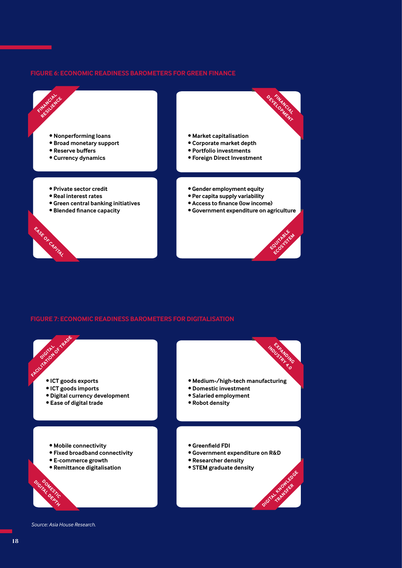## **FIGURE 6: ECONOMIC READINESS BAROMETERS FOR GREEN FINANCE**



## **FIGURE 7: ECONOMIC READINESS BAROMETERS FOR DIGITALISATION**



*Source: Asia House Research.*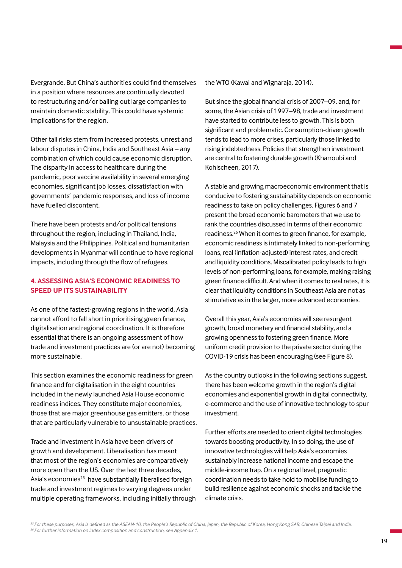Evergrande. But China's authorities could find themselves in a position where resources are continually devoted to restructuring and/or bailing out large companies to maintain domestic stability. This could have systemic implications for the region.

Other tail risks stem from increased protests, unrest and labour disputes in China, India and Southeast Asia – any combination of which could cause economic disruption. The disparity in access to healthcare during the pandemic, poor vaccine availability in several emerging economies, significant job losses, dissatisfaction with governments' pandemic responses, and loss of income have fuelled discontent.

There have been protests and/or political tensions throughout the region, including in Thailand, India, Malaysia and the Philippines. Political and humanitarian developments in Myanmar will continue to have regional impacts, including through the flow of refugees.

# **4. ASSESSING ASIA'S ECONOMIC READINESS TO SPEED UP ITS SUSTAINABILITY**

As one of the fastest-growing regions in the world, Asia cannot afford to fall short in prioritising green finance, digitalisation and regional coordination. It is therefore essential that there is an ongoing assessment of how trade and investment practices are (or are not) becoming more sustainable.

This section examines the economic readiness for green finance and for digitalisation in the eight countries included in the newly launched Asia House economic readiness indices. They constitute major economies, those that are major greenhouse gas emitters, or those that are particularly vulnerable to unsustainable practices.

Trade and investment in Asia have been drivers of growth and development. Liberalisation has meant that most of the region's economies are comparatively more open than the US. Over the last three decades, Asia's economies<sup>25</sup> have substantially liberalised foreign trade and investment regimes to varying degrees under multiple operating frameworks, including initially through the WTO (Kawai and Wignaraja, 2014).

But since the global financial crisis of 2007–09, and, for some, the Asian crisis of 1997–98, trade and investment have started to contribute less to growth. This is both significant and problematic. Consumption-driven growth tends to lead to more crises, particularly those linked to rising indebtedness. Policies that strengthen investment are central to fostering durable growth (Kharroubi and Kohlscheen, 2017).

A stable and growing macroeconomic environment that is conducive to fostering sustainability depends on economic readiness to take on policy challenges. Figures 6 and 7 present the broad economic barometers that we use to rank the countries discussed in terms of their economic readiness.26 When it comes to green finance, for example, economic readiness is intimately linked to non-performing loans, real (inflation-adjusted) interest rates, and credit and liquidity conditions. Miscalibrated policy leads to high levels of non-performing loans, for example, making raising green finance difficult. And when it comes to real rates, it is clear that liquidity conditions in Southeast Asia are not as stimulative as in the larger, more advanced economies.

Overall this year, Asia's economies will see resurgent growth, broad monetary and financial stability, and a growing openness to fostering green finance. More uniform credit provision to the private sector during the COVID-19 crisis has been encouraging (see Figure 8).

As the country outlooks in the following sections suggest, there has been welcome growth in the region's digital economies and exponential growth in digital connectivity, e-commerce and the use of innovative technology to spur investment.

Further efforts are needed to orient digital technologies towards boosting productivity. In so doing, the use of innovative technologies will help Asia's economies sustainably increase national income and escape the middle-income trap. On a regional level, pragmatic coordination needs to take hold to mobilise funding to build resilience against economic shocks and tackle the climate crisis.

*25 For these purposes, Asia is defined as the ASEAN-10, the People's Republic of China, Japan, the Republic of Korea, Hong Kong SAR, Chinese Taipei and India. 26 For further information on index composition and construction, see Appendix 1.*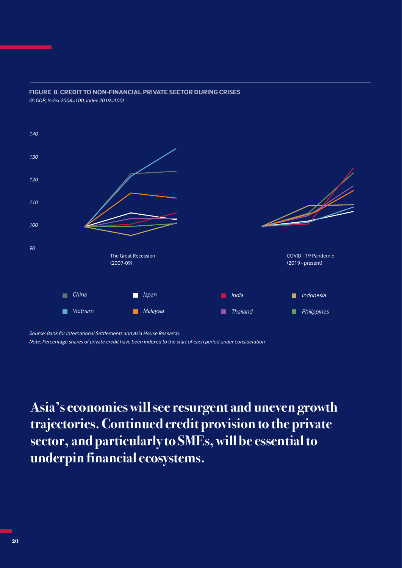

**FIGURE 8. CREDIT TO NON-FINANCIAL PRIVATE SECTOR DURING CRISES** *(% GDP, Index 2008=100, Index 2019=100)*

*Source: Bank for International Settlements and Asia House Research. Note: Percentage shares of private credit have been indexed to the start of each period under consideration*

**Asia's economies will see resurgent and uneven growth trajectories. Continued credit provision to the private sector, and particularly to SMEs, will be essential to underpin financial ecosystems.**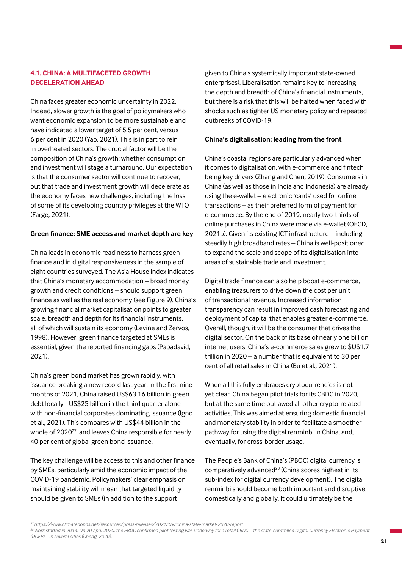# **4.1. CHINA: A MULTIFACETED GROWTH DECELERATION AHEAD**

China faces greater economic uncertainty in 2022. Indeed, slower growth is the goal of policymakers who want economic expansion to be more sustainable and have indicated a lower target of 5.5 per cent, versus 6 per cent in 2020 (Yao, 2021). This is in part to rein in overheated sectors. The crucial factor will be the composition of China's growth: whether consumption and investment will stage a turnaround. Our expectation is that the consumer sector will continue to recover, but that trade and investment growth will decelerate as the economy faces new challenges, including the loss of some of its developing country privileges at the WTO (Farge, 2021).

## **Green finance: SME access and market depth are key**

China leads in economic readiness to harness green finance and in digital responsiveness in the sample of eight countries surveyed. The Asia House index indicates that China's monetary accommodation – broad money growth and credit conditions – should support green finance as well as the real economy (see Figure 9). China's growing financial market capitalisation points to greater scale, breadth and depth for its financial instruments, all of which will sustain its economy (Levine and Zervos, 1998). However, green finance targeted at SMEs is essential, given the reported financing gaps (Papadavid, 2021).

China's green bond market has grown rapidly, with issuance breaking a new record last year. In the first nine months of 2021, China raised US\$63.16 billion in green debt locally –US\$25 billion in the third quarter alone – with non-financial corporates dominating issuance (Igno et al., 2021). This compares with US\$44 billion in the whole of 2020<sup>27</sup> and leaves China responsible for nearly 40 per cent of global green bond issuance.

The key challenge will be access to this and other finance by SMEs, particularly amid the economic impact of the COVID-19 pandemic. Policymakers' clear emphasis on maintaining stability will mean that targeted liquidity should be given to SMEs (in addition to the support

given to China's systemically important state-owned enterprises). Liberalisation remains key to increasing the depth and breadth of China's financial instruments, but there is a risk that this will be halted when faced with shocks such as tighter US monetary policy and repeated outbreaks of COVID-19.

## **China's digitalisation: leading from the front**

China's coastal regions are particularly advanced when it comes to digitalisation, with e-commerce and fintech being key drivers (Zhang and Chen, 2019). Consumers in China (as well as those in India and Indonesia) are already using the e-wallet – electronic 'cards' used for online transactions – as their preferred form of payment for e-commerce. By the end of 2019, nearly two-thirds of online purchases in China were made via e-wallet (OECD, 2021b). Given its existing ICT infrastructure – including steadily high broadband rates – China is well-positioned to expand the scale and scope of its digitalisation into areas of sustainable trade and investment.

Digital trade finance can also help boost e-commerce, enabling treasurers to drive down the cost per unit of transactional revenue. Increased information transparency can result in improved cash forecasting and deployment of capital that enables greater e-commerce. Overall, though, it will be the consumer that drives the digital sector. On the back of its base of nearly one billion internet users, China's e-commerce sales grew to \$US1.7 trillion in 2020 – a number that is equivalent to 30 per cent of all retail sales in China (Bu et al., 2021).

When all this fully embraces cryptocurrencies is not yet clear. China began pilot trials for its CBDC in 2020, but at the same time outlawed all other crypto-related activities. This was aimed at ensuring domestic financial and monetary stability in order to facilitate a smoother pathway for using the digital renminbi in China, and, eventually, for cross-border usage.

The People's Bank of China's (PBOC) digital currency is comparatively advanced<sup>28</sup> (China scores highest in its sub-index for digital currency development). The digital renminbi should become both important and disruptive, domestically and globally. It could ultimately be the

*<sup>27</sup> https://www.climatebonds.net/resources/press-releases/2021/09/china-state-market-2020-report*

*<sup>28</sup>Work started in 2014. On 20 April 2020, the PBOC confirmed pilot testing was underway for a retail CBDC – the state-controlled Digital Currency Electronic Payment (DCEP) – in several cities (Cheng, 2020).*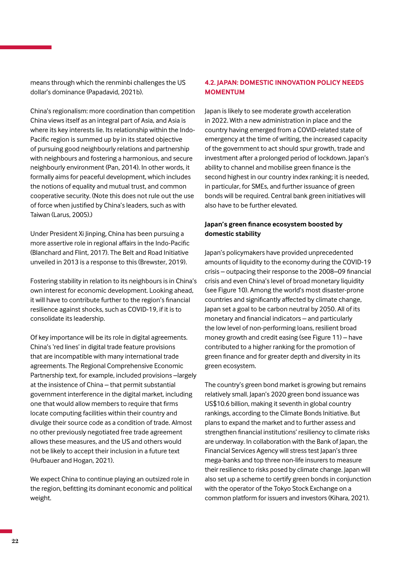means through which the renminbi challenges the US dollar's dominance (Papadavid, 2021b).

China's regionalism: more coordination than competition China views itself as an integral part of Asia, and Asia is where its key interests lie. Its relationship within the Indo-Pacific region is summed up by in its stated objective of pursuing good neighbourly relations and partnership with neighbours and fostering a harmonious, and secure neighbourly environment (Pan, 2014). In other words, it formally aims for peaceful development, which includes the notions of equality and mutual trust, and common cooperative security. (Note this does not rule out the use of force when justified by China's leaders, such as with Taiwan (Larus, 2005).)

Under President Xi Jinping, China has been pursuing a more assertive role in regional affairs in the Indo-Pacific (Blanchard and Flint, 2017). The Belt and Road Initiative unveiled in 2013 is a response to this (Brewster, 2019).

Fostering stability in relation to its neighbours is in China's own interest for economic development. Looking ahead, it will have to contribute further to the region's financial resilience against shocks, such as COVID-19, if it is to consolidate its leadership.

Of key importance will be its role in digital agreements. China's 'red lines' in digital trade feature provisions that are incompatible with many international trade agreements. The Regional Comprehensive Economic Partnership text, for example, included provisions –largely at the insistence of China – that permit substantial government interference in the digital market, including one that would allow members to require that firms locate computing facilities within their country and divulge their source code as a condition of trade. Almost no other previously negotiated free trade agreement allows these measures, and the US and others would not be likely to accept their inclusion in a future text (Hufbauer and Hogan, 2021).

We expect China to continue playing an outsized role in the region, befitting its dominant economic and political weight.

# **4.2. JAPAN: DOMESTIC INNOVATION POLICY NEEDS MOMENTUM**

Japan is likely to see moderate growth acceleration in 2022. With a new administration in place and the country having emerged from a COVID-related state of emergency at the time of writing, the increased capacity of the government to act should spur growth, trade and investment after a prolonged period of lockdown. Japan's ability to channel and mobilise green finance is the second highest in our country index ranking; it is needed, in particular, for SMEs, and further issuance of green bonds will be required. Central bank green initiatives will also have to be further elevated.

# **Japan's green finance ecosystem boosted by domestic stability**

Japan's policymakers have provided unprecedented amounts of liquidity to the economy during the COVID-19 crisis – outpacing their response to the 2008–09 financial crisis and even China's level of broad monetary liquidity (see Figure 10). Among the world's most disaster-prone countries and significantly affected by climate change, Japan set a goal to be carbon neutral by 2050. All of its monetary and financial indicators – and particularly the low level of non-performing loans, resilient broad money growth and credit easing (see Figure 11) – have contributed to a higher ranking for the promotion of green finance and for greater depth and diversity in its green ecosystem.

The country's green bond market is growing but remains relatively small. Japan's 2020 green bond issuance was US\$10.6 billion, making it seventh in global country rankings, according to the Climate Bonds Initiative. But plans to expand the market and to further assess and strengthen financial institutions' resiliency to climate risks are underway. In collaboration with the Bank of Japan, the Financial Services Agency will stress test Japan's three mega-banks and top three non-life insurers to measure their resilience to risks posed by climate change. Japan will also set up a scheme to certify green bonds in conjunction with the operator of the Tokyo Stock Exchange on a common platform for issuers and investors (Kihara, 2021).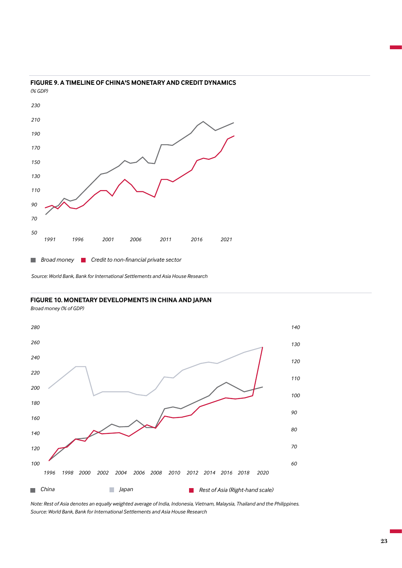

#### **FIGURE 9. A TIMELINE OF CHINA'S MONETARY AND CREDIT DYNAMICS**  *(% GDP)*

*Source: World Bank, Bank for International Settlements and Asia House Research*

#### **FIGURE 10. MONETARY DEVELOPMENTS IN CHINA AND JAPAN**

*Broad money (% of GDP)*



*Note: Rest of Asia denotes an equally weighted average of India, Indonesia, Vietnam, Malaysia, Thailand and the Philippines. Source: World Bank, Bank for International Settlements and Asia House Research*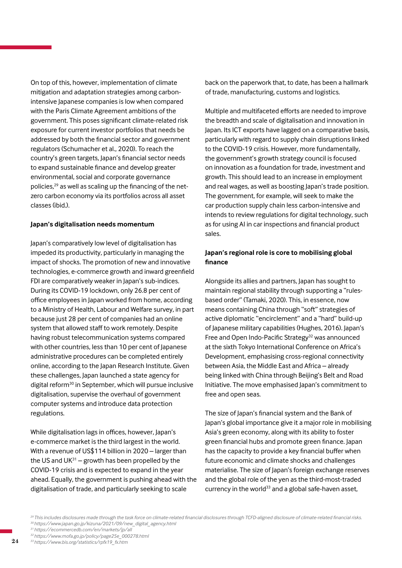On top of this, however, implementation of climate mitigation and adaptation strategies among carbonintensive Japanese companies is low when compared with the Paris Climate Agreement ambitions of the government. This poses significant climate-related risk exposure for current investor portfolios that needs be addressed by both the financial sector and government regulators (Schumacher et al., 2020). To reach the country's green targets, Japan's financial sector needs to expand sustainable finance and develop greater environmental, social and corporate governance policies,<sup>29</sup> as well as scaling up the financing of the netzero carbon economy via its portfolios across all asset classes (ibid.).

## **Japan's digitalisation needs momentum**

Japan's comparatively low level of digitalisation has impeded its productivity, particularly in managing the impact of shocks. The promotion of new and innovative technologies, e-commerce growth and inward greenfield FDI are comparatively weaker in Japan's sub-indices. During its COVID-19 lockdown, only 26.8 per cent of office employees in Japan worked from home, according to a Ministry of Health, Labour and Welfare survey, in part because just 28 per cent of companies had an online system that allowed staff to work remotely. Despite having robust telecommunication systems compared with other countries, less than 10 per cent of Japanese administrative procedures can be completed entirely online, according to the Japan Research Institute. Given these challenges, Japan launched a state agency for digital reform<sup>30</sup> in September, which will pursue inclusive digitalisation, supervise the overhaul of government computer systems and introduce data protection regulations.

While digitalisation lags in offices, however, Japan's e-commerce market is the third largest in the world. With a revenue of US\$114 billion in 2020 – larger than the US and UK $31$  – growth has been propelled by the COVID-19 crisis and is expected to expand in the year ahead. Equally, the government is pushing ahead with the digitalisation of trade, and particularly seeking to scale

back on the paperwork that, to date, has been a hallmark of trade, manufacturing, customs and logistics.

Multiple and multifaceted efforts are needed to improve the breadth and scale of digitalisation and innovation in Japan. Its ICT exports have lagged on a comparative basis, particularly with regard to supply chain disruptions linked to the COVID-19 crisis. However, more fundamentally, the government's growth strategy council is focused on innovation as a foundation for trade, investment and growth. This should lead to an increase in employment and real wages, as well as boosting Japan's trade position. The government, for example, will seek to make the car production supply chain less carbon-intensive and intends to review regulations for digital technology, such as for using AI in car inspections and financial product sales.

# **Japan's regional role is core to mobilising global finance**

Alongside its allies and partners, Japan has sought to maintain regional stability through supporting a "rulesbased order" (Tamaki, 2020). This, in essence, now means containing China through "soft" strategies of active diplomatic "encirclement" and a "hard" build-up of Japanese military capabilities (Hughes, 2016). Japan's Free and Open Indo-Pacific Strategy<sup>32</sup> was announced at the sixth Tokyo International Conference on Africa's Development, emphasising cross-regional connectivity between Asia, the Middle East and Africa – already being linked with China through Beijing's Belt and Road Initiative. The move emphasised Japan's commitment to free and open seas.

The size of Japan's financial system and the Bank of Japan's global importance give it a major role in mobilising Asia's green economy, along with its ability to foster green financial hubs and promote green finance. Japan has the capacity to provide a key financial buffer when future economic and climate shocks and challenges materialise. The size of Japan's foreign exchange reserves and the global role of the yen as the third-most-traded currency in the world<sup>33</sup> and a global safe-haven asset,

*<sup>29</sup>This includes disclosures made through the task force on climate-related financial disclosures through TCFD-aligned disclosure of climate-related financial risks. <sup>30</sup>https://www.japan.go.jp/kizuna/2021/09/new\_digital\_agency.html*

*<sup>31</sup>https://ecommercedb.com/en/markets/jp/all*

*<sup>32</sup>https://www.mofa.go.jp/policy/page25e\_000278.html*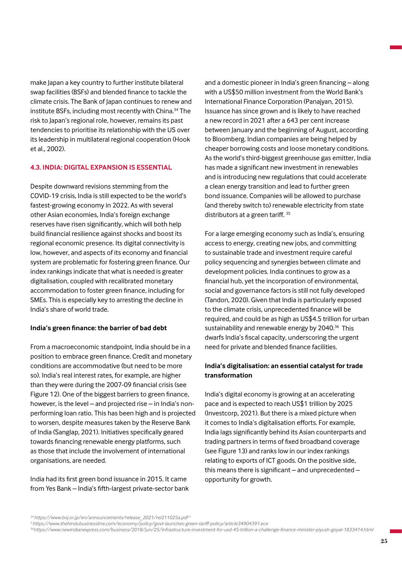make Japan a key country to further institute bilateral swap facilities (BSFs) and blended finance to tackle the climate crisis. The Bank of Japan continues to renew and institute BSFs, including most recently with China.34 The risk to Japan's regional role, however, remains its past tendencies to prioritise its relationship with the US over its leadership in multilateral regional cooperation (Hook et al., 2002).

## **4.3. INDIA: DIGITAL EXPANSION IS ESSENTIAL**

Despite downward revisions stemming from the COVID-19 crisis, India is still expected to be the world's fastest-growing economy in 2022. As with several other Asian economies, India's foreign exchange reserves have risen significantly, which will both help build financial resilience against shocks and boost its regional economic presence. Its digital connectivity is low, however, and aspects of its economy and financial system are problematic for fostering green finance. Our index rankings indicate that what is needed is greater digitalisation, coupled with recalibrated monetary accommodation to foster green finance, including for SMEs. This is especially key to arresting the decline in India's share of world trade.

#### **India's green finance: the barrier of bad debt**

From a macroeconomic standpoint, India should be in a position to embrace green finance. Credit and monetary conditions are accommodative (but need to be more so). India's real interest rates, for example, are higher than they were during the 2007-09 financial crisis (see Figure 12). One of the biggest barriers to green finance, however, is the level – and projected rise – in India's nonperforming loan ratio. This has been high and is projected to worsen, despite measures taken by the Reserve Bank of India (Sanglap, 2021). Initiatives specifically geared towards financing renewable energy platforms, such as those that include the involvement of international organisations, are needed.

India had its first green bond issuance in 2015. It came from Yes Bank – India's fifth-largest private-sector bank and a domestic pioneer in India's green financing – along with a US\$50 million investment from the World Bank's International Finance Corporation (Panajyan, 2015). Issuance has since grown and is likely to have reached a new record in 2021 after a 643 per cent increase between January and the beginning of August, according to Bloomberg. Indian companies are being helped by cheaper borrowing costs and loose monetary conditions. As the world's third-biggest greenhouse gas emitter, India has made a significant new investment in renewables and is introducing new regulations that could accelerate a clean energy transition and lead to further green bond issuance. Companies will be allowed to purchase (and thereby switch to) renewable electricity from state distributors at a green tariff. 35

For a large emerging economy such as India's, ensuring access to energy, creating new jobs, and committing to sustainable trade and investment require careful policy sequencing and synergies between climate and development policies. India continues to grow as a financial hub, yet the incorporation of environmental, social and governance factors is still not fully developed (Tandon, 2020). Given that India is particularly exposed to the climate crisis, unprecedented finance will be required, and could be as high as US\$4.5 trillion for urban sustainability and renewable energy by 2040.<sup>36</sup> This dwarfs India's fiscal capacity, underscoring the urgent need for private and blended finance facilities.

# **India's digitalisation: an essential catalyst for trade transformation**

India's digital economy is growing at an accelerating pace and is expected to reach US\$1 trillion by 2025 (Investcorp, 2021). But there is a mixed picture when it comes to India's digitalisation efforts. For example, India lags significantly behind its Asian counterparts and trading partners in terms of fixed broadband coverage (see Figure 13) and ranks low in our index rankings relating to exports of ICT goods. On the positive side, this means there is significant – and unprecedented – opportunity for growth.

*36https://www.newindianexpress.com/business/2018/jun/25/infrastructure-investment-for-usd-45-trillion-a-challenge-finance-minister-piyush-goyal-1833414.html*

*<sup>34</sup>https://www.boj.or.jp/en/announcements/release\_2021/rel211025a.pdf <sup>3</sup>*

*<sup>5</sup>https://www.thehindubusinessline.com/economy/policy/govt-launches-green-tariff-policy/article34904391.ece*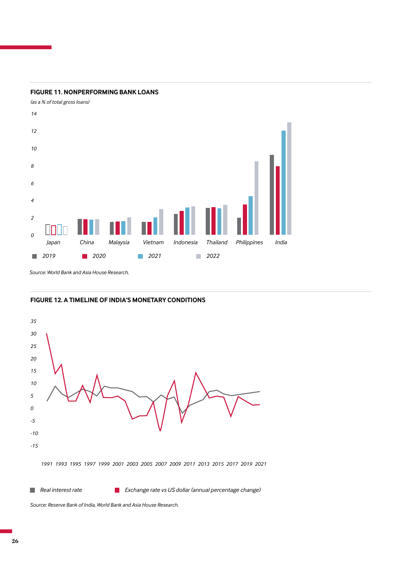

## **FIGURE 11. NONPERFORMING BANK LOANS**

*Source: World Bank and Asia House Research.*

# **FIGURE 12. A TIMELINE OF INDIA'S MONETARY CONDITIONS**



*Source: Reserve Bank of India, World Bank and Asia House Research.*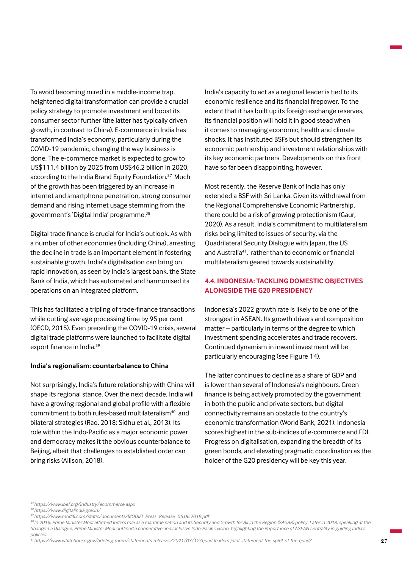To avoid becoming mired in a middle-income trap, heightened digital transformation can provide a crucial policy strategy to promote investment and boost its consumer sector further (the latter has typically driven growth, in contrast to China). E-commerce in India has transformed India's economy, particularly during the COVID-19 pandemic, changing the way business is done. The e-commerce market is expected to grow to US\$111.4 billion by 2025 from US\$46.2 billion in 2020, according to the India Brand Equity Foundation.<sup>37</sup> Much of the growth has been triggered by an increase in internet and smartphone penetration, strong consumer demand and rising internet usage stemming from the government's 'Digital India' programme.<sup>38</sup>

Digital trade finance is crucial for India's outlook. As with a number of other economies (including China), arresting the decline in trade is an important element in fostering sustainable growth. India's digitalisation can bring on rapid innovation, as seen by India's largest bank, the State Bank of India, which has automated and harmonised its operations on an integrated platform.

This has facilitated a tripling of trade-finance transactions while cutting average processing time by 95 per cent (OECD, 2015). Even preceding the COVID-19 crisis, several digital trade platforms were launched to facilitate digital export finance in India.39

#### **India's regionalism: counterbalance to China**

Not surprisingly, India's future relationship with China will shape its regional stance. Over the next decade, India will have a growing regional and global profile with a flexible commitment to both rules-based multilateralism<sup>40</sup> and bilateral strategies (Rao, 2018; Sidhu et al., 2013). Its role within the Indo-Pacific as a major economic power and democracy makes it the obvious counterbalance to Beijing, albeit that challenges to established order can bring risks (Allison, 2018).

India's capacity to act as a regional leader is tied to its economic resilience and its financial firepower. To the extent that it has built up its foreign exchange reserves, its financial position will hold it in good stead when it comes to managing economic, health and climate shocks. It has instituted BSFs but should strengthen its economic partnership and investment relationships with its key economic partners. Developments on this front have so far been disappointing, however.

Most recently, the Reserve Bank of India has only extended a BSF with Sri Lanka. Given its withdrawal from the Regional Comprehensive Economic Partnership, there could be a risk of growing protectionism (Gaur, 2020). As a result, India's commitment to multilateralism risks being limited to issues of security, via the Quadrilateral Security Dialogue with Japan, the US and Australia<sup>41</sup>, rather than to economic or financial multilateralism geared towards sustainability.

# **4.4. INDONESIA: TACKLING DOMESTIC OBJECTIVES ALONGSIDE THE G20 PRESIDENCY**

Indonesia's 2022 growth rate is likely to be one of the strongest in ASEAN. Its growth drivers and composition matter – particularly in terms of the degree to which investment spending accelerates and trade recovers. Continued dynamism in inward investment will be particularly encouraging (see Figure 14).

The latter continues to decline as a share of GDP and is lower than several of Indonesia's neighbours. Green finance is being actively promoted by the government in both the public and private sectors, but digital connectivity remains an obstacle to the country's economic transformation (World Bank, 2021). Indonesia scores highest in the sub-indices of e-commerce and FDI. Progress on digitalisation, expanding the breadth of its green bonds, and elevating pragmatic coordination as the holder of the G20 presidency will be key this year.

*<sup>37</sup>https://www.ibef.org/industry/ecommerce.aspx*

*<sup>38</sup> https://www.digitalindia.gov.in/*

*<sup>39</sup>https://www.modifi.com/static/documents/MODIFI\_Press\_Release\_06.06.2019.pdf*

*<sup>40</sup>In 2016, Prime Minister Modi affirmed India's role as a maritime nation and its Security and Growth for All in the Region (SAGAR) policy. Later in 2018, speaking at the Shangri-La Dialogue, Prime Minister Modi outlined a cooperative and inclusive Indo-Pacific vision, highlighting the importance of ASEAN centrality in guiding India's policies.*

*<sup>41</sup> https://www.whitehouse.gov/briefing-room/statements-releases/2021/03/12/quad-leaders-joint-statement-the-spirit-of-the-quad/*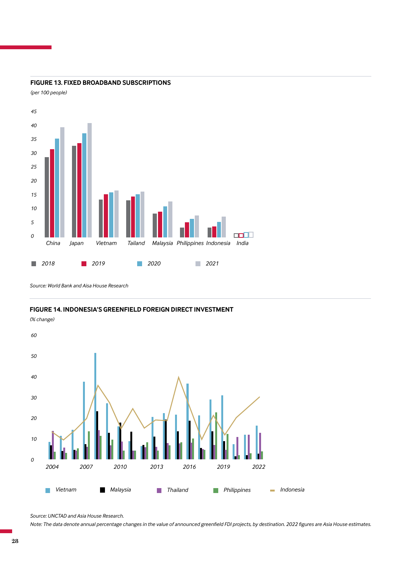

### **FIGURE 13. FIXED BROADBAND SUBSCRIPTIONS**

*(per 100 people)*

*Source: World Bank and Aisa House Research*

**FIGURE 14. INDONESIA'S GREENFIELD FOREIGN DIRECT INVESTMENT**



*Source: UNCTAD and Asia House Research.* 

*Note: The data denote annual percentage changes in the value of announced greenfield FDI projects, by destination. 2022 figures are Asia House estimates.*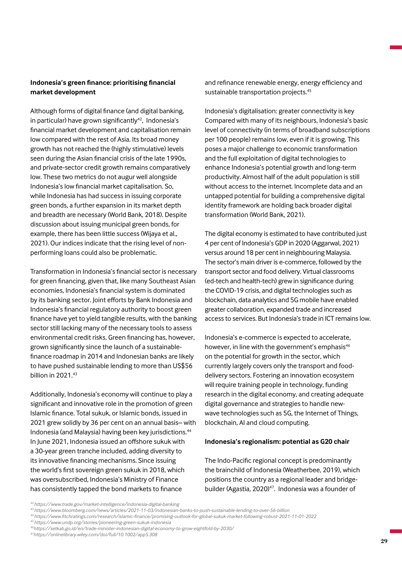# **Indonesia's green finance: prioritising financial market development**

Although forms of digital finance (and digital banking, in particular) have grown significantly $42$ , Indonesia's financial market development and capitalisation remain low compared with the rest of Asia. Its broad money growth has not reached the (highly stimulative) levels seen during the Asian financial crisis of the late 1990s, and private-sector credit growth remains comparatively low. These two metrics do not augur well alongside Indonesia's low financial market capitalisation. So, while Indonesia has had success in issuing corporate green bonds, a further expansion in its market depth and breadth are necessary (World Bank, 2018). Despite discussion about issuing municipal green bonds, for example, there has been little success (Wijaya et al., 2021). Our indices indicate that the rising level of nonperforming loans could also be problematic.

Transformation in Indonesia's financial sector is necessary for green financing, given that, like many Southeast Asian economies, Indonesia's financial system is dominated by its banking sector. Joint efforts by Bank Indonesia and Indonesia's financial regulatory authority to boost green finance have yet to yield tangible results, with the banking sector still lacking many of the necessary tools to assess environmental credit risks. Green financing has, however, grown significantly since the launch of a sustainablefinance roadmap in 2014 and Indonesian banks are likely to have pushed sustainable lending to more than US\$56 billion in 2021 43

Additionally, Indonesia's economy will continue to play a significant and innovative role in the promotion of green Islamic finance. Total sukuk, or Islamic bonds, issued in 2021 grew solidly by 36 per cent on an annual basis– with Indonesia (and Malaysia) having been key jurisdictions.<sup>44</sup> In June 2021, Indonesia issued an offshore sukuk with a 30-year green tranche included, adding diversity to its innovative financing mechanisms. Since issuing the world's first sovereign green sukuk in 2018, which was oversubscribed, Indonesia's Ministry of Finance has consistently tapped the bond markets to finance

and refinance renewable energy, energy efficiency and sustainable transportation projects.<sup>45</sup>

Indonesia's digitalisation: greater connectivity is key Compared with many of its neighbours, Indonesia's basic level of connectivity (in terms of broadband subscriptions per 100 people) remains low, even if it is growing. This poses a major challenge to economic transformation and the full exploitation of digital technologies to enhance Indonesia's potential growth and long-term productivity. Almost half of the adult population is still without access to the internet. Incomplete data and an untapped potential for building a comprehensive digital identity framework are holding back broader digital transformation (World Bank, 2021).

The digital economy is estimated to have contributed just 4 per cent of Indonesia's GDP in 2020 (Aggarwal, 2021) versus around 18 per cent in neighbouring Malaysia. The sector's main driver is e-commerce, followed by the transport sector and food delivery. Virtual classrooms (ed-tech and health-tech) grew in significance during the COVID-19 crisis, and digital technologies such as blockchain, data analytics and 5G mobile have enabled greater collaboration, expanded trade and increased access to services. But Indonesia's trade in ICT remains low.

Indonesia's e-commerce is expected to accelerate, however, in line with the government's emphasis<sup>46</sup> on the potential for growth in the sector, which currently largely covers only the transport and fooddelivery sectors. Fostering an innovation ecosystem will require training people in technology, funding research in the digital economy, and creating adequate digital governance and strategies to handle newwave technologies such as 5G, the Internet of Things, blockchain, AI and cloud computing.

#### **Indonesia's regionalism: potential as G20 chair**

The Indo-Pacific regional concept is predominantly the brainchild of Indonesia (Weatherbee, 2019), which positions the country as a regional leader and bridgebuilder (Agastia, 2020)<sup>47</sup>. Indonesia was a founder of

*<sup>42</sup> https://www.trade.gov/market-intelligence/indonesia-digital-banking*

*<sup>43</sup> https://www.bloomberg.com/news/articles/2021-11-03/indonesian-banks-to-push-sustainable-lending-to-over-56-billion*

*<sup>44</sup>https://www.fitchratings.com/research/islamic-finance/promising-outlook-for-global-sukuk-market-following-robust-2021-11-01-2022*

*<sup>45</sup> https://www.undp.org/stories/pioneering-green-sukuk-indonesia*

*<sup>46</sup>https://setkab.go.id/en/trade-minister-indonesian-digital-economy-to-grow-eightfold-by-2030/*

*<sup>47</sup>https://onlinelibrary.wiley.com/doi/full/10.1002/app5.308*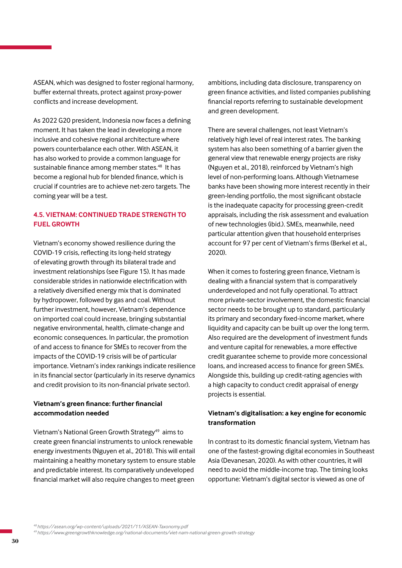ASEAN, which was designed to foster regional harmony, buffer external threats, protect against proxy-power conflicts and increase development.

As 2022 G20 president, Indonesia now faces a defining moment. It has taken the lead in developing a more inclusive and cohesive regional architecture where powers counterbalance each other. With ASEAN, it has also worked to provide a common language for sustainable finance among member states.<sup>48</sup> It has become a regional hub for blended finance, which is crucial if countries are to achieve net-zero targets. The coming year will be a test.

# **4.5. VIETNAM: CONTINUED TRADE STRENGTH TO FUEL GROWTH**

Vietnam's economy showed resilience during the COVID-19 crisis, reflecting its long-held strategy of elevating growth through its bilateral trade and investment relationships (see Figure 15). It has made considerable strides in nationwide electrification with a relatively diversified energy mix that is dominated by hydropower, followed by gas and coal. Without further investment, however, Vietnam's dependence on imported coal could increase, bringing substantial negative environmental, health, climate-change and economic consequences. In particular, the promotion of and access to finance for SMEs to recover from the impacts of the COVID-19 crisis will be of particular importance. Vietnam's index rankings indicate resilience in its financial sector (particularly in its reserve dynamics and credit provision to its non-financial private sector).

# **Vietnam's green finance: further financial accommodation needed**

Vietnam's National Green Growth Strategy<sup>49</sup> aims to create green financial instruments to unlock renewable energy investments (Nguyen et al., 2018). This will entail maintaining a healthy monetary system to ensure stable and predictable interest. Its comparatively undeveloped financial market will also require changes to meet green

ambitions, including data disclosure, transparency on green finance activities, and listed companies publishing financial reports referring to sustainable development and green development.

There are several challenges, not least Vietnam's relatively high level of real interest rates. The banking system has also been something of a barrier given the general view that renewable energy projects are risky (Nguyen et al., 2018), reinforced by Vietnam's high level of non-performing loans. Although Vietnamese banks have been showing more interest recently in their green-lending portfolio, the most significant obstacle is the inadequate capacity for processing green-credit appraisals, including the risk assessment and evaluation of new technologies (ibid.). SMEs, meanwhile, need particular attention given that household enterprises account for 97 per cent of Vietnam's firms (Berkel et al., 2020).

When it comes to fostering green finance, Vietnam is dealing with a financial system that is comparatively underdeveloped and not fully operational. To attract more private-sector involvement, the domestic financial sector needs to be brought up to standard, particularly its primary and secondary fixed-income market, where liquidity and capacity can be built up over the long term. Also required are the development of investment funds and venture capital for renewables, a more effective credit guarantee scheme to provide more concessional loans, and increased access to finance for green SMEs. Alongside this, building up credit-rating agencies with a high capacity to conduct credit appraisal of energy projects is essential.

# **Vietnam's digitalisation: a key engine for economic transformation**

In contrast to its domestic financial system, Vietnam has one of the fastest-growing digital economies in Southeast Asia (Devanesan, 2020). As with other countries, it will need to avoid the middle-income trap. The timing looks opportune: Vietnam's digital sector is viewed as one of

*<sup>48</sup>https://asean.org/wp-content/uploads/2021/11/ASEAN-Taxonomy.pdf*

*49 https://www.greengrowthknowledge.org/national-documents/viet-nam-national-green-growth-strategy*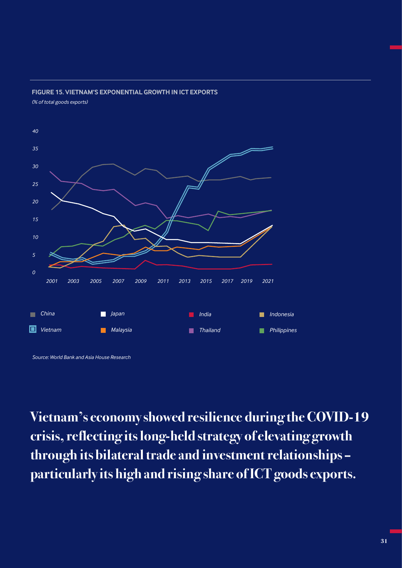

## **FIGURE 15. VIETNAM'S EXPONENTIAL GROWTH IN ICT EXPORTS** *(% of total goods exports)*

**Vietnam's economy showed resilience during the COVID-19 crisis, reflecting its long-held strategy of elevating growth through its bilateral trade and investment relationships – particularly its high and rising share of ICT goods exports.**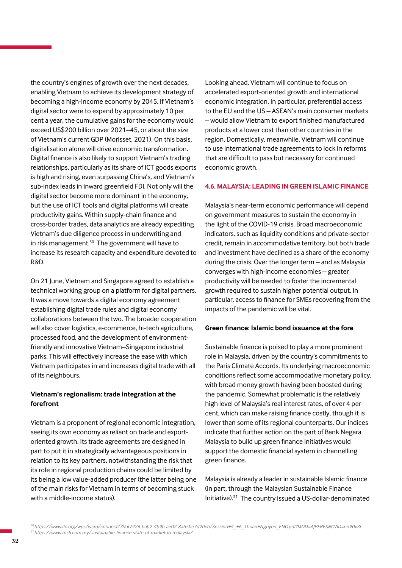the country's engines of growth over the next decades, enabling Vietnam to achieve its development strategy of becoming a high-income economy by 2045. If Vietnam's digital sector were to expand by approximately 10 per cent a year, the cumulative gains for the economy would exceed US\$200 billion over 2021–45, or about the size of Vietnam's current GDP (Morisset, 2021). On this basis, digitalisation alone will drive economic transformation. Digital finance is also likely to support Vietnam's trading relationships, particularly as its share of ICT goods exports is high and rising, even surpassing China's, and Vietnam's sub-index leads in inward greenfield FDI. Not only will the digital sector become more dominant in the economy, but the use of ICT tools and digital platforms will create productivity gains. Within supply-chain finance and cross-border trades, data analytics are already expediting Vietnam's due diligence process in underwriting and in risk management.<sup>50</sup> The government will have to increase its research capacity and expenditure devoted to R&D.

On 21 June, Vietnam and Singapore agreed to establish a technical working group on a platform for digital partners. It was a move towards a digital economy agreement establishing digital trade rules and digital economy collaborations between the two. The broader cooperation will also cover logistics, e-commerce, hi-tech agriculture, processed food, and the development of environmentfriendly and innovative Vietnam–Singapore industrial parks. This will effectively increase the ease with which Vietnam participates in and increases digital trade with all of its neighbours.

# **Vietnam's regionalism: trade integration at the forefront**

Vietnam is a proponent of regional economic integration, seeing its own economy as reliant on trade and exportoriented growth. Its trade agreements are designed in part to put it in strategically advantageous positions in relation to its key partners, notwithstanding the risk that its role in regional production chains could be limited by its being a low value-added producer (the latter being one of the main risks for Vietnam in terms of becoming stuck with a middle-income status).

Looking ahead, Vietnam will continue to focus on accelerated export-oriented growth and international economic integration. In particular, preferential access to the EU and the US – ASEAN's main consumer markets – would allow Vietnam to export finished manufactured products at a lower cost than other countries in the region. Domestically, meanwhile, Vietnam will continue to use international trade agreements to lock in reforms that are difficult to pass but necessary for continued economic growth.

## **4.6. MALAYSIA: LEADING IN GREEN ISLAMIC FINANCE**

Malaysia's near-term economic performance will depend on government measures to sustain the economy in the light of the COVID-19 crisis. Broad macroeconomic indicators, such as liquidity conditions and private-sector credit, remain in accommodative territory, but both trade and investment have declined as a share of the economy during the crisis. Over the longer term – and as Malaysia converges with high-income economies – greater productivity will be needed to foster the incremental growth required to sustain higher potential output. In particular, access to finance for SMEs recovering from the impacts of the pandemic will be vital.

## **Green finance: Islamic bond issuance at the fore**

Sustainable finance is poised to play a more prominent role in Malaysia, driven by the country's commitments to the Paris Climate Accords. Its underlying macroeconomic conditions reflect some accommodative monetary policy, with broad money growth having been boosted during the pandemic. Somewhat problematic is the relatively high level of Malaysia's real interest rates, of over 4 per cent, which can make raising finance costly, though it is lower than some of its regional counterparts. Our indices indicate that further action on the part of Bank Negara Malaysia to build up green finance initiatives would support the domestic financial system in channelling green finance.

Malaysia is already a leader in sustainable Islamic finance (in part, through the Malaysian Sustainable Finance Initiative).51 The country issued a US-dollar-denominated

*<sup>50</sup>https://www.ifc.org/wps/wcm/connect/39af7426-bab2-4b9b-ae02-8a65be7d2dcb/Session+4\_+6\_Thuan+Nguyen\_ENG.pdf?MOD=AJPERES&CVID=no90v3i 51 https://www.msfi.com.my/sustainable-finance-state-of-market-in-malaysia/*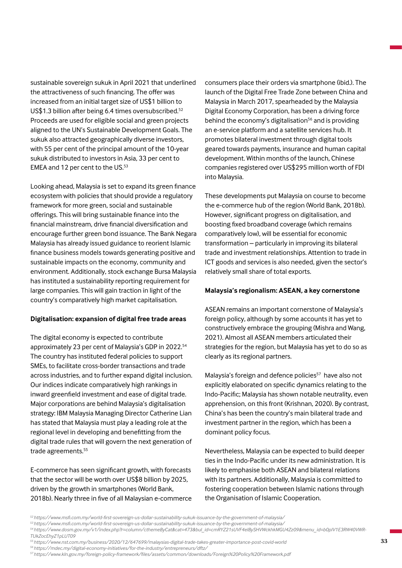sustainable sovereign sukuk in April 2021 that underlined the attractiveness of such financing. The offer was increased from an initial target size of US\$1 billion to US\$1.3 billion after being 6.4 times oversubscribed.<sup>52</sup> Proceeds are used for eligible social and green projects aligned to the UN's Sustainable Development Goals. The sukuk also attracted geographically diverse investors, with 55 per cent of the principal amount of the 10-year sukuk distributed to investors in Asia, 33 per cent to EMEA and 12 per cent to the US.<sup>53</sup>

Looking ahead, Malaysia is set to expand its green finance ecosystem with policies that should provide a regulatory framework for more green, social and sustainable offerings. This will bring sustainable finance into the financial mainstream, drive financial diversification and encourage further green bond issuance. The Bank Negara Malaysia has already issued guidance to reorient Islamic finance business models towards generating positive and sustainable impacts on the economy, community and environment. Additionally, stock exchange Bursa Malaysia has instituted a sustainability reporting requirement for large companies. This will gain traction in light of the country's comparatively high market capitalisation.

#### **Digitalisation: expansion of digital free trade areas**

The digital economy is expected to contribute approximately 23 per cent of Malaysia's GDP in 2022.54 The country has instituted federal policies to support SMEs, to facilitate cross-border transactions and trade across industries, and to further expand digital inclusion. Our indices indicate comparatively high rankings in inward greenfield investment and ease of digital trade. Major corporations are behind Malaysia's digitalisation strategy: IBM Malaysia Managing Director Catherine Lian has stated that Malaysia must play a leading role at the regional level in developing and benefitting from the digital trade rules that will govern the next generation of trade agreements.<sup>55</sup>

E-commerce has seen significant growth, with forecasts that the sector will be worth over US\$8 billion by 2025, driven by the growth in smartphones (World Bank, 2018b). Nearly three in five of all Malaysian e-commerce consumers place their orders via smartphone (ibid.). The launch of the Digital Free Trade Zone between China and Malaysia in March 2017, spearheaded by the Malaysia Digital Economy Corporation, has been a driving force behind the economy's digitalisation<sup>56</sup> and is providing an e-service platform and a satellite services hub. It promotes bilateral investment through digital tools geared towards payments, insurance and human capital development. Within months of the launch, Chinese companies registered over US\$295 million worth of FDI into Malaysia.

These developments put Malaysia on course to become the e-commerce hub of the region (World Bank, 2018b). However, significant progress on digitalisation, and boosting fixed broadband coverage (which remains comparatively low), will be essential for economic transformation – particularly in improving its bilateral trade and investment relationships. Attention to trade in ICT goods and services is also needed, given the sector's relatively small share of total exports.

#### **Malaysia's regionalism: ASEAN, a key cornerstone**

ASEAN remains an important cornerstone of Malaysia's foreign policy, although by some accounts it has yet to constructively embrace the grouping (Mishra and Wang, 2021). Almost all ASEAN members articulated their strategies for the region, but Malaysia has yet to do so as clearly as its regional partners.

Malaysia's foreign and defence policies<sup>57</sup> have also not explicitly elaborated on specific dynamics relating to the Indo-Pacific; Malaysia has shown notable neutrality, even apprehension, on this front (Krishnan, 2020). By contrast, China's has been the country's main bilateral trade and investment partner in the region, which has been a dominant policy focus.

Nevertheless, Malaysia can be expected to build deeper ties in the Indo-Pacific under its new administration. It is likely to emphasise both ASEAN and bilateral relations with its partners. Additionally, Malaysia is committed to fostering cooperation between Islamic nations through the Organisation of Islamic Cooperation.

- *55 https://www.nst.com.my/business/2020/12/647699/malaysias-digital-trade-takes-greater-importance-post-covid-world*
- *<sup>56</sup>https://mdec.my/digital-economy-initiatives/for-the-industry/entrepreneurs/dftz/*

*<sup>52</sup>https://www.msfi.com.my/world-first-sovereign-us-dollar-sustainability-sukuk-issuance-by-the-government-of-malaysia/*

*<sup>53</sup>https://www.msfi.com.my/world-first-sovereign-us-dollar-sustainability-sukuk-issuance-by-the-government-of-malaysia/ 54 https://www.dosm.gov.my/v1/index.php?r=column/cthemeByCat&cat=473&bul\_id=cmRYZ21sUVF4elBySHVWckhkMGU4Zz09&menu\_id=b0pIV1E3RW40VWR-*

*TUkZocEhyZ1pLUT09*

*<sup>57</sup> https://www.kln.gov.my/foreign-policy-framework/files/assets/common/downloads/Foreign%20Policy%20Framework.pdf*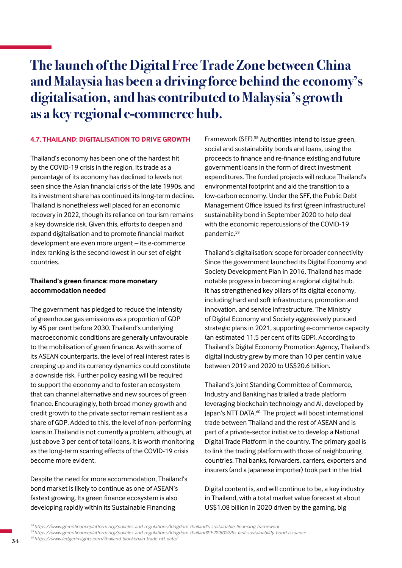# **The launch of the Digital Free Trade Zone between China and Malaysia has been a driving force behind the economy's digitalisation, and has contributed to Malaysia's growth as a key regional e-commerce hub.**

# **4.7. THAILAND: DIGITALISATION TO DRIVE GROWTH**

Thailand's economy has been one of the hardest hit by the COVID-19 crisis in the region. Its trade as a percentage of its economy has declined to levels not seen since the Asian financial crisis of the late 1990s, and its investment share has continued its long-term decline. Thailand is nonetheless well placed for an economic recovery in 2022, though its reliance on tourism remains a key downside risk. Given this, efforts to deepen and expand digitalisation and to promote financial market development are even more urgent – its e-commerce index ranking is the second lowest in our set of eight countries.

# **Thailand's green finance: more monetary accommodation needed**

The government has pledged to reduce the intensity of greenhouse gas emissions as a proportion of GDP by 45 per cent before 2030. Thailand's underlying macroeconomic conditions are generally unfavourable to the mobilisation of green finance. As with some of its ASEAN counterparts, the level of real interest rates is creeping up and its currency dynamics could constitute a downside risk. Further policy easing will be required to support the economy and to foster an ecosystem that can channel alternative and new sources of green finance. Encouragingly, both broad money growth and credit growth to the private sector remain resilient as a share of GDP. Added to this, the level of non-performing loans in Thailand is not currently a problem, although, at just above 3 per cent of total loans, it is worth monitoring as the long-term scarring effects of the COVID-19 crisis become more evident.

Despite the need for more accommodation, Thailand's bond market is likely to continue as one of ASEAN's fastest growing. Its green finance ecosystem is also developing rapidly within its Sustainable Financing

Framework (SFF).58 Authorities intend to issue green, social and sustainability bonds and loans, using the proceeds to finance and re-finance existing and future government loans in the form of direct investment expenditures. The funded projects will reduce Thailand's environmental footprint and aid the transition to a low-carbon economy. Under the SFF, the Public Debt Management Office issued its first (green infrastructure) sustainability bond in September 2020 to help deal with the economic repercussions of the COVID-19 pandemic.<sup>59</sup>

Thailand's digitalisation: scope for broader connectivity Since the government launched its Digital Economy and Society Development Plan in 2016, Thailand has made notable progress in becoming a regional digital hub. It has strengthened key pillars of its digital economy, including hard and soft infrastructure, promotion and innovation, and service infrastructure. The Ministry of Digital Economy and Society aggressively pursued strategic plans in 2021, supporting e-commerce capacity (an estimated 11.5 per cent of its GDP). According to Thailand's Digital Economy Promotion Agency, Thailand's digital industry grew by more than 10 per cent in value between 2019 and 2020 to US\$20.6 billion.

Thailand's Joint Standing Committee of Commerce, Industry and Banking has trialled a trade platform leveraging blockchain technology and AI, developed by Japan's NTT DATA.<sup>60</sup> The project will boost international trade between Thailand and the rest of ASEAN and is part of a private-sector initiative to develop a National Digital Trade Platform in the country. The primary goal is to link the trading platform with those of neighbouring countries. Thai banks, forwarders, carriers, exporters and insurers (and a Japanese importer) took part in the trial.

Digital content is, and will continue to be, a key industry in Thailand, with a total market value forecast at about US\$1.08 billion in 2020 driven by the gaming, big

*<sup>59</sup>https://www.greenfinanceplatform.org/policies-and-regulations/kingdom-thailand%E2%80%99s-first-sustainability-bond-issuance*

*<sup>58</sup>https://www.greenfinanceplatform.org/policies-and-regulations/kingdom-thailand's-sustainable-financing-framework*

*<sup>60</sup> https://www.ledgerinsights.com/thailand-blockchain-trade-ntt-data/*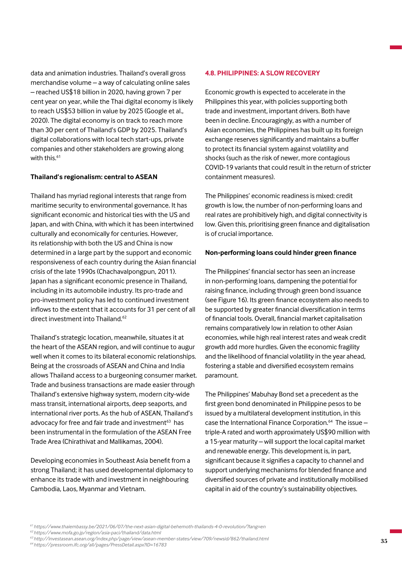data and animation industries. Thailand's overall gross merchandise volume – a way of calculating online sales – reached US\$18 billion in 2020, having grown 7 per cent year on year, while the Thai digital economy is likely to reach US\$53 billion in value by 2025 (Google et al., 2020). The digital economy is on track to reach more than 30 per cent of Thailand's GDP by 2025. Thailand's digital collaborations with local tech start-ups, private companies and other stakeholders are growing along with this.<sup>61</sup>

## **Thailand's regionalism: central to ASEAN**

Thailand has myriad regional interests that range from maritime security to environmental governance. It has significant economic and historical ties with the US and Japan, and with China, with which it has been intertwined culturally and economically for centuries. However, its relationship with both the US and China is now determined in a large part by the support and economic responsiveness of each country during the Asian financial crisis of the late 1990s (Chachavalpongpun, 2011). Japan has a significant economic presence in Thailand, including in its automobile industry. Its pro-trade and pro-investment policy has led to continued investment inflows to the extent that it accounts for 31 per cent of all direct investment into Thailand.<sup>62</sup>

Thailand's strategic location, meanwhile, situates it at the heart of the ASEAN region, and will continue to augur well when it comes to its bilateral economic relationships. Being at the crossroads of ASEAN and China and India allows Thailand access to a burgeoning consumer market. Trade and business transactions are made easier through Thailand's extensive highway system, modern city-wide mass transit, international airports, deep seaports, and international river ports. As the hub of ASEAN, Thailand's advocacy for free and fair trade and investment<sup>63</sup> has been instrumental in the formulation of the ASEAN Free Trade Area (Chirathivat and Mallikamas, 2004).

Developing economies in Southeast Asia benefit from a strong Thailand; it has used developmental diplomacy to enhance its trade with and investment in neighbouring Cambodia, Laos, Myanmar and Vietnam.

#### **4.8. PHILIPPINES: A SLOW RECOVERY**

Economic growth is expected to accelerate in the Philippines this year, with policies supporting both trade and investment, important drivers. Both have been in decline. Encouragingly, as with a number of Asian economies, the Philippines has built up its foreign exchange reserves significantly and maintains a buffer to protect its financial system against volatility and shocks (such as the risk of newer, more contagious COVID-19 variants that could result in the return of stricter containment measures).

The Philippines' economic readiness is mixed: credit growth is low, the number of non-performing loans and real rates are prohibitively high, and digital connectivity is low. Given this, prioritising green finance and digitalisation is of crucial importance.

#### **Non-performing loans could hinder green finance**

The Philippines' financial sector has seen an increase in non-performing loans, dampening the potential for raising finance, including through green bond issuance (see Figure 16). Its green finance ecosystem also needs to be supported by greater financial diversification in terms of financial tools. Overall, financial market capitalisation remains comparatively low in relation to other Asian economies, while high real interest rates and weak credit growth add more hurdles. Given the economic fragility and the likelihood of financial volatility in the year ahead, fostering a stable and diversified ecosystem remains paramount.

The Philippines' Mabuhay Bond set a precedent as the first green bond denominated in Philippine pesos to be issued by a multilateral development institution, in this case the International Finance Corporation.<sup>64</sup> The issue triple-A rated and worth approximately US\$90 million with a 15-year maturity – will support the local capital market and renewable energy. This development is, in part, significant because it signifies a capacity to channel and support underlying mechanisms for blended finance and diversified sources of private and institutionally mobilised capital in aid of the country's sustainability objectives.

*<sup>61</sup>https://www.thaiembassy.be/2021/06/07/the-next-asian-digital-behemoth-thailands-4-0-revolution/?lang=en <sup>62</sup>https://www.mofa.go.jp/region/asia-paci/thailand/data.html*

*<sup>63</sup>http://investasean.asean.org/index.php/page/view/asean-member-states/view/709/newsid/862/thailand.html*

*<sup>64</sup> https://pressroom.ifc.org/all/pages/PressDetail.aspx?ID=16783*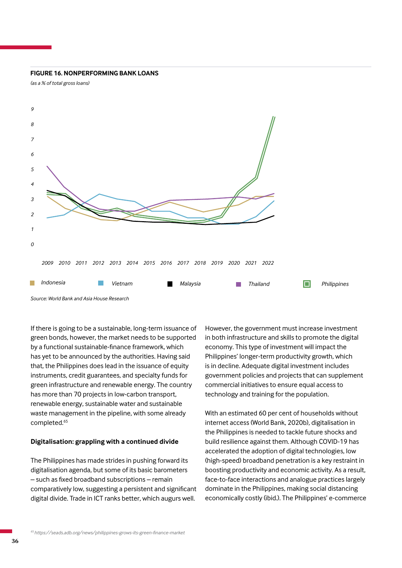#### **FIGURE 16. NONPERFORMING BANK LOANS**

*(as a % of total gross loans)*



*Source: World Bank and Asia House Research*

If there is going to be a sustainable, long-term issuance of green bonds, however, the market needs to be supported by a functional sustainable-finance framework, which has yet to be announced by the authorities. Having said that, the Philippines does lead in the issuance of equity instruments, credit guarantees, and specialty funds for green infrastructure and renewable energy. The country has more than 70 projects in low-carbon transport, renewable energy, sustainable water and sustainable waste management in the pipeline, with some already completed.<sup>65</sup>

### **Digitalisation: grappling with a continued divide**

The Philippines has made strides in pushing forward its digitalisation agenda, but some of its basic barometers – such as fixed broadband subscriptions – remain comparatively low, suggesting a persistent and significant digital divide. Trade in ICT ranks better, which augurs well.

However, the government must increase investment in both infrastructure and skills to promote the digital economy. This type of investment will impact the Philippines' longer-term productivity growth, which is in decline. Adequate digital investment includes government policies and projects that can supplement commercial initiatives to ensure equal access to technology and training for the population.

With an estimated 60 per cent of households without internet access (World Bank, 2020b), digitalisation in the Philippines is needed to tackle future shocks and build resilience against them. Although COVID-19 has accelerated the adoption of digital technologies, low (high-speed) broadband penetration is a key restraint in boosting productivity and economic activity. As a result, face-to-face interactions and analogue practices largely dominate in the Philippines, making social distancing economically costly (ibid.). The Philippines' e-commerce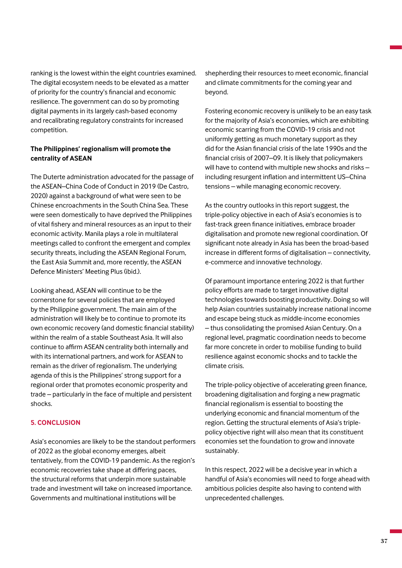ranking is the lowest within the eight countries examined. The digital ecosystem needs to be elevated as a matter of priority for the country's financial and economic resilience. The government can do so by promoting digital payments in its largely cash-based economy and recalibrating regulatory constraints for increased competition.

## **The Philippines' regionalism will promote the centrality of ASEAN**

The Duterte administration advocated for the passage of the ASEAN–China Code of Conduct in 2019 (De Castro, 2020) against a background of what were seen to be Chinese encroachments in the South China Sea. These were seen domestically to have deprived the Philippines of vital fishery and mineral resources as an input to their economic activity. Manila plays a role in multilateral meetings called to confront the emergent and complex security threats, including the ASEAN Regional Forum, the East Asia Summit and, more recently, the ASEAN Defence Ministers' Meeting Plus (ibid.).

Looking ahead, ASEAN will continue to be the cornerstone for several policies that are employed by the Philippine government. The main aim of the administration will likely be to continue to promote its own economic recovery (and domestic financial stability) within the realm of a stable Southeast Asia. It will also continue to affirm ASEAN centrality both internally and with its international partners, and work for ASEAN to remain as the driver of regionalism. The underlying agenda of this is the Philippines' strong support for a regional order that promotes economic prosperity and trade – particularly in the face of multiple and persistent shocks.

## **5. CONCLUSION**

Asia's economies are likely to be the standout performers of 2022 as the global economy emerges, albeit tentatively, from the COVID-19 pandemic. As the region's economic recoveries take shape at differing paces, the structural reforms that underpin more sustainable trade and investment will take on increased importance. Governments and multinational institutions will be

shepherding their resources to meet economic, financial and climate commitments for the coming year and beyond.

Fostering economic recovery is unlikely to be an easy task for the majority of Asia's economies, which are exhibiting economic scarring from the COVID-19 crisis and not uniformly getting as much monetary support as they did for the Asian financial crisis of the late 1990s and the financial crisis of 2007–09. It is likely that policymakers will have to contend with multiple new shocks and risks – including resurgent inflation and intermittent US–China tensions – while managing economic recovery.

As the country outlooks in this report suggest, the triple-policy objective in each of Asia's economies is to fast-track green finance initiatives, embrace broader digitalisation and promote new regional coordination. Of significant note already in Asia has been the broad-based increase in different forms of digitalisation – connectivity, e-commerce and innovative technology.

Of paramount importance entering 2022 is that further policy efforts are made to target innovative digital technologies towards boosting productivity. Doing so will help Asian countries sustainably increase national income and escape being stuck as middle-income economies – thus consolidating the promised Asian Century. On a regional level, pragmatic coordination needs to become far more concrete in order to mobilise funding to build resilience against economic shocks and to tackle the climate crisis.

The triple-policy objective of accelerating green finance, broadening digitalisation and forging a new pragmatic financial regionalism is essential to boosting the underlying economic and financial momentum of the region. Getting the structural elements of Asia's triplepolicy objective right will also mean that its constituent economies set the foundation to grow and innovate sustainably.

In this respect, 2022 will be a decisive year in which a handful of Asia's economies will need to forge ahead with ambitious policies despite also having to contend with unprecedented challenges.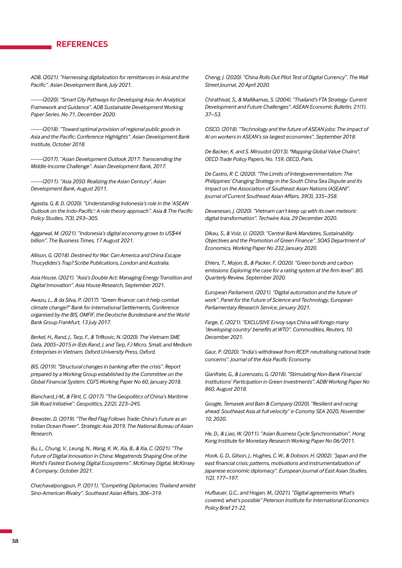# **REFERENCES**

*ADB. (2021). "Harnessing digitalization for remittances in Asia and the Pacific". Asian Development Bank, July 2021.*

*-------(2020). "Smart City Pathways for Developing Asia: An Analytical Framework and Guidance". ADB Sustainable Development Working Paper Series. No 71, December 2020.* 

*-------(2018). "Toward optimal provision of regional public goods in Asia and the Pacific: Conference Highlights". Asian Development Bank Institute, October 2018.*

*-------(2017). "Asian Development Outlook 2017: Transcending the Middle-Income Challenge". Asian Development Bank, 2017.* 

*-------(2011). "Asia 2050: Realizing the Asian Century". Asian Development Bank, August 2011.*

*Agastia, G. B. D. (2020). "Understanding Indonesia's role in the 'ASEAN Outlook on the Indo-Pacific': A role theory approach". Asia & The Pacific Policy Studies, 7(3), 293–305.*

*Aggarwal, M. (2021). "Indonesia's digital economy grows to US\$44 billion". The Business Times, 17 August 2021.*

*Allison, G. (2018). Destined for War: Can America and China Escape Thucydides's Trap? Scribe Publications, London and Australia.* 

*Asia House. (2021). "Asia's Double Act: Managing Energy Transition and Digital Innovation". Asia House Research, September 2021.*

*Awazu, L., & da Silva, P. (2017). "Green finance: can it help combat climate change?" Bank for International Settlements, Conference organised by the BIS, OMFIF, the Deutsche Bundesbank and the World Bank Group Frankfurt, 13 July 2017.*

*Berkel, H., Rand, J., Tarp, F., & Trifkovic, N. (2020). The Vietnam SME Data, 2005–2015 in (Eds Rand, J. and Tarp, F.) Micro, Small, and Medium Enterprises in Vietnam, Oxford University Press, Oxford.*

*BIS. (2019). "Structural changes in banking after the crisis". Report prepared by a Working Group established by the Committee on the Global Financial System. CGFS Working Paper No 60, January 2018.*

*Blanchard, J-M., & Flint, C. (2017). "The Geopolitics of China's Maritime Silk Road Initiative". Geopolitics, 22(2), 223–245.*

*Brewster, D. (2019). "The Red Flag Follows Trade: China's Future as an Indian Ocean Power". Strategic Asia 2019, The National Bureau of Asian Research.*

*Bu, L., Chung, V., Leung, N., Wang, K. W., Xia, B., & Xia, C. (2021). "The Future of Digital Innovation in China: Megatrends Shaping One of the World's Fastest Evolving Digital Ecosystems". McKinsey Digital, McKinsey & Company, October 2021.*

*Chachavalpongpun, P. (2011). "Competing Diplomacies: Thailand amidst Sino-American Rivalry". Southeast Asian Affairs, 306–319.*

*Cheng, J. (2020). "China Rolls Out Pilot Test of Digital Currency". The Wall Street Journal, 20 April 2020.*

*Chirathivat, S., & Mallikamas, S. (2004). "Thailand's FTA Strategy: Current Development and Future Challenges". ASEAN Economic Bulletin, 21(1), 37–53.* 

*CISCO. (2018). "Technology and the future of ASEAN jobs: The impact of AI on workers in ASEAN's six largest economies", September 2018.*

*De Backer, K. and S. Miroudot (2013), "Mapping Global Value Chains", OECD Trade Policy Papers, No. 159, OECD, Paris.*

*De Castro, R. C. (2020). "The Limits of Intergovernmentalism: The Philippines' Changing Strategy in the South China Sea Dispute and Its Impact on the Association of Southeast Asian Nations (ASEAN)". Journal of Current Southeast Asian Affairs, 39(3), 335–358.*

*Devanesan, J. (2020). "Vietnam can't keep up with its own meteoric digital transformation". Techwire Asia, 29 December 2020.*

*Dikau, S., & Volz, U. (2020). "Central Bank Mandates, Sustainability Objectives and the Promotion of Green Finance". SOAS Department of Economics, Working Paper No 232, January 2020.*

*Ehlers, T., Mojon, B., & Packer, F. (2020). "Green bonds and carbon emissions: Exploring the case for a rating system at the firm level". BIS Quarterly Review, September 2020.*

*European Parliament. (2021). "Digital automation and the future of work". Panel for the Future of Science and Technology, European Parliamentary Research Service, January 2021.*

*Farge, E. (2021). "EXCLUSIVE Envoy says China will forego many 'developing country' benefits at WTO". Commodities, Reuters, 10 December 2021.*

*Gaur, P. (2020). "India's withdrawal from RCEP: neutralising national trade concerns". Journal of the Asia Pacific Economy.* 

*Gianfrate, G., & Lorenzato, G. (2018). "Stimulating Non-Bank Financial Institutions' Participation in Green Investments". ADBI Working Paper No 860, August 2018.*

*Google, Temasek and Bain & Company (2020), "Resilient and racing ahead: Southeast Asia at full velocity" e-Conomy SEA 2020, November 10, 2020.*

*He, D., & Liao, W. (2011). "Asian Business Cycle Synchronisation". Hong Kong Institute for Monetary Research Working Paper No 06/2011.*

*Hook, G. D., Gilson, J., Hughes, C. W., & Dobson, H. (2002). "Japan and the east financial crisis: patterns, motivations and instrumentalization of Japanese economic diplomacy". European Journal of East Asian Studies, 1(2), 177–197.*

*Hufbauer, G.C., and Hogan, M., (2021), "Digital agreements: What's covered, what's possible" Peterson Institute for International Economics Policy Brief 21-22.*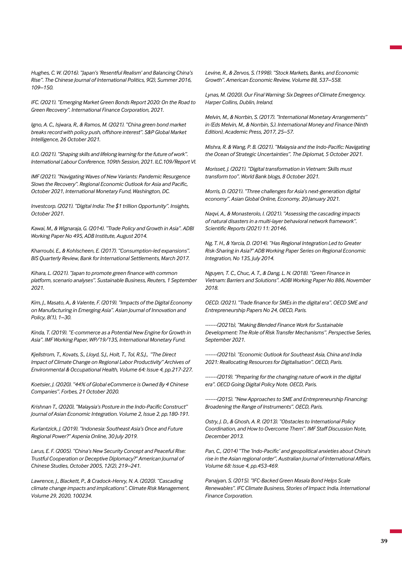*Hughes, C. W. (2016). "Japan's 'Resentful Realism' and Balancing China's Rise". The Chinese Journal of International Politics, 9(2), Summer 2016, 109–150.*

*IFC. (2021). "Emerging Market Green Bonds Report 2020: On the Road to Green Recovery". International Finance Corporation, 2021.*

*Igno, A. C., Isjwara, R., & Ramos, M. (2021). "China green bond market breaks record with policy push, offshore interest". S&P Global Market Intelligence, 26 October 2021.*

*ILO. (2021). "Shaping skills and lifelong learning for the future of work". International Labour Conference, 109th Session, 2021. ILC.109/Report VI.* 

*IMF (2021). "Navigating Waves of New Variants: Pandemic Resurgence Slows the Recovery". Regional Economic Outlook for Asia and Pacific, October 2021, International Monetary Fund, Washington, DC.*

*Investcorp. (2021). "Digital India: The \$1 trillion Opportunity". Insights, October 2021.* 

*Kawai, M., & Wignaraja, G. (2014). "Trade Policy and Growth in Asia". ADBI Working Paper No 495, ADB Institute, August 2014.*

*Kharroubi, E., & Kohlscheen, E. (2017). "Consumption-led expansions". BIS Quarterly Review, Bank for International Settlements, March 2017.*

*Kihara, L. (2021). "Japan to promote green finance with common platform, scenario analyses". Sustainable Business, Reuters, 1 September 2021.*

*Kim, J., Masato, A., & Valente, F. (2019). "Impacts of the Digital Economy on Manufacturing in Emerging Asia". Asian Journal of Innovation and Policy, 8(1), 1–30.*

*Kinda, T. (2019). "E-commerce as a Potential New Engine for Growth in Asia". IMF Working Paper, WP/19/135, International Monetary Fund.*

*Kjellstrom, T., Kovats, S., Lloyd, S.J., Holt, T., Tol, R.S.J., "The Direct Impact of Climate Change on Regional Labor Productivity" Archives of Environmental & Occupational Health, Volume 64: Issue 4, pp.217-227.*

*Koetsier, J. (2020). "44% of Global eCommerce is Owned By 4 Chinese Companies". Forbes, 21 October 2020.*

*Krishnan T., (2020), "Malaysia's Posture in the Indo-Pacific Construct" Journal of Asian Economic Integration. Volume 2, Issue 2, pp.180-191.*

*Kurlantzick, J. (2019). "Indonesia: Southeast Asia's Once and Future Regional Power?" Aspenia Online, 30 July 2019.* 

*Larus, E. F. (2005). "China's New Security Concept and Peaceful Rise: Trustful Cooperation or Deceptive Diplomacy?" American Journal of Chinese Studies, October 2005, 12(2), 219–241.*

*Lawrence, J., Blackett, P., & Cradock-Henry, N. A. (2020). "Cascading climate change impacts and implications". Climate Risk Management, Volume 29, 2020, 100234.*

*Levine, R., & Zervos, S. (1998). "Stock Markets, Banks, and Economic Growth". American Economic Review, Volume 88, 537–558.*

*Lynas, M. (2020). Our Final Warning: Six Degrees of Climate Emergency. Harper Collins, Dublin, Ireland.*

*Melvin, M., & Norrbin, S. (2017). "International Monetary Arrangements" in (Eds Melvin, M., & Norrbin, S.). International Money and Finance (Ninth Edition), Academic Press, 2017, 25–57.*

*Mishra, R. & Wang, P. B. (2021). "Malaysia and the Indo-Pacific: Navigating the Ocean of Strategic Uncertainties". The Diplomat, 5 October 2021.* 

*Morisset, J. (2021). "Digital transformation in Vietnam: Skills must transform too". World Bank blogs, 8 October 2021.* 

*Morris, D. (2021). "Three challenges for Asia's next-generation digital economy". Asian Global Online, Economy, 20 January 2021.*

*Naqvi, A., & Monasterolo, I. (2021). "Assessing the cascading impacts of natural disasters in a multi-layer behavioral network framework". Scientific Reports (2021) 11: 20146.* 

*Ng, T. H., & Yarcia, D. (2014). "Has Regional Integration Led to Greater Risk-Sharing in Asia?" ADB Working Paper Series on Regional Economic Integration, No 135, July 2014.* 

*Nguyen, T. C., Chuc, A. T., & Dang, L. N. (2018). "Green Finance in Vietnam: Barriers and Solutions". ADBI Working Paper No 886, November 2018.*

*OECD. (2021). "Trade finance for SMEs in the digital era". OECD SME and Entrepreneurship Papers No 24, OECD, Paris.*

*-------(2021b), "Making Blended Finance Work for Sustainable Development: The Role of Risk Transfer Mechanisms". Perspective Series, September 2021.* 

*-------(2021b). "Economic Outlook for Southeast Asia, China and India 2021: Reallocating Resources for Digitalisation". OECD, Paris.*

*-------(2019). "Preparing for the changing nature of work in the digital era". OECD Going Digital Policy Note. OECD, Paris.*

*-------(2015). "New Approaches to SME and Entrepreneurship Financing: Broadening the Range of Instruments". OECD, Paris.*

*Ostry, J. D., & Ghosh, A. R. (2013). "Obstacles to International Policy Coordination, and How to Overcome Them". IMF Staff Discussion Note, December 2013.*

*Pan, C., (2014) "The 'Indo-Pacific' and geopolitical anxieties about China's rise in the Asian regional order", Australian Journal of International Affairs, Volume 68: Issue 4, pp.453-469.*

*Panajyan, S. (2015). "IFC-Backed Green Masala Bond Helps Scale Renewables". IFC Climate Business, Stories of Impact: India. International Finance Corporation.*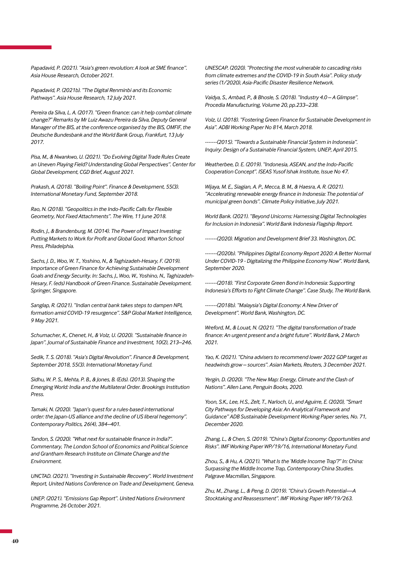*Papadavid, P. (2021). "Asia's green revolution: A look at SME finance". Asia House Research, October 2021.*

*Papadavid, P. (2021b). "The Digital Renminbi and its Economic Pathways". Asia House Research, 12 July 2021.*

*Pereira da Silva, L. A. (2017). "Green finance: can it help combat climate change?" Remarks by Mr Luiz Awazu Pereira da Silva, Deputy General Manager of the BIS, at the conference organised by the BIS, OMFIF, the Deutsche Bundesbank and the World Bank Group, Frankfurt, 13 July 2017.*

*Pisa, M., & Nwankwo, U. (2021). "Do Evolving Digital Trade Rules Create an Uneven Playing Field? Understanding Global Perspectives". Center for Global Development, CGD Brief, August 2021.*

*Prakash, A. (2018). "Boiling Point". Finance & Development, 55(3). International Monetary Fund, September 2018.*

*Rao, N. (2018). "Geopolitics in the Indo-Pacific Calls for Flexible Geometry, Not Fixed Attachments". The Wire, 11 June 2018.* 

*Rodin, J., & Brandenburg, M. (2014). The Power of Impact Investing: Putting Markets to Work for Profit and Global Good. Wharton School Press, Philadelphia.* 

*Sachs, J. D., Woo, W. T., Yoshino, N., & Taghizadeh-Hesary, F. (2019). Importance of Green Finance for Achieving Sustainable Development Goals and Energy Security. In: Sachs, J., Woo, W., Yoshino, N., Taghizadeh-Hesary, F. (eds) Handbook of Green Finance. Sustainable Development. Springer, Singapore.* 

*Sanglap, R. (2021). "Indian central bank takes steps to dampen NPL formation amid COVID-19 resurgence". S&P Global Market Intelligence, 9 May 2021.*

*Schumacher, K., Chenet, H., & Volz, U. (2020). "Sustainable finance in Japan". Journal of Sustainable Finance and Investment, 10(2), 213–246.*

*Sedik, T. S. (2018). "Asia's Digital Revolution". Finance & Development, September 2018, 55(3). International Monetary Fund.*

*Sidhu, W. P. S., Mehta, P. B., & Jones, B. (Eds). (2013). Shaping the Emerging World: India and the Multilateral Order. Brookings Institution Press.* 

*Tamaki, N. (2020). "Japan's quest for a rules-based international order: the Japan-US alliance and the decline of US liberal hegemony". Contemporary Politics, 26(4), 384–401.*

*Tandon, S. (2020). "What next for sustainable finance in India?". Commentary, The London School of Economics and Political Science and Grantham Research Institute on Climate Change and the Environment.*

*UNCTAD. (2021). "Investing in Sustainable Recovery". World Investment Report, United Nations Conference on Trade and Development, Geneva.*

*UNEP. (2021). "Emissions Gap Report". United Nations Environment Programme, 26 October 2021.* 

*UNESCAP. (2020). "Protecting the most vulnerable to cascading risks from climate extremes and the COVID-19 in South Asia". Policy study series (1/2020), Asia-Pacific Disaster Resilience Network.*

*Vaidya, S., Ambad, P., & Bhosle, S. (2018). "Industry 4.0 – A Glimpse". Procedia Manufacturing, Volume 20, pp.233–238.*

*Volz, U. (2018). "Fostering Green Finance for Sustainable Development in Asia". ADBI Working Paper No 814, March 2018.*

*-------(2015). "Towards a Sustainable Financial System in Indonesia". Inquiry: Design of a Sustainable Financial System, UNEP, April 2015.*

*Weatherbee, D. E. (2019). "Indonesia, ASEAN, and the Indo-Pacific Cooperation Concept". ISEAS Yusof Ishak Institute, Issue No 47.*

*Wijaya, M. E., Siagian, A. P., Mecca, B. M., & Haesra, A. R. (2021). "Accelerating renewable energy finance in Indonesia: The potential of municipal green bonds". Climate Policy Initiative, July 2021.*

*World Bank. (2021). "Beyond Unicorns: Harnessing Digital Technologies for Inclusion in Indonesia". World Bank Indonesia Flagship Report.* 

*-------(2020). Migration and Development Brief 33. Washington, DC.*

*-------(2020b). "Philippines Digital Economy Report 2020: A Better Normal Under COVID-19 - Digitalizing the Philippine Economy Now". World Bank, September 2020.*

*-------(2018). "First Corporate Green Bond in Indonesia: Supporting Indonesia's Efforts to Fight Climate Change". Case Study, The World Bank.*

*-------(2018b). "Malaysia's Digital Economy: A New Driver of Development". World Bank, Washington, DC.* 

*Wreford, M., & Louat, N. (2021). "The digital transformation of trade finance: An urgent present and a bright future". World Bank, 2 March 2021.*

*Yao, K. (2021). "China advisers to recommend lower 2022 GDP target as headwinds grow – sources". Asian Markets, Reuters, 3 December 2021.*

*Yergin, D. (2020). "The New Map: Energy, Climate and the Clash of Nations". Allen Lane, Penguin Books, 2020.*

*Yoon, S.K., Lee, H.S., Zelt, T., Narloch, U., and Aguirre, E. (2020), "Smart City Pathways for Developing Asia: An Analytical Framework and Guidance" ADB Sustainable Development Working Paper series, No. 71, December 2020.*

*Zhang, L., & Chen, S. (2019). "China's Digital Economy: Opportunities and Risks". IMF Working Paper WP/19/16, International Monetary Fund.* 

*Zhou, S., & Hu, A. (2021). "What Is the 'Middle Income Trap'?" In: China: Surpassing the Middle Income Trap, Contemporary China Studies. Palgrave Macmillan, Singapore.* 

*Zhu, M., Zhang, L., & Peng, D. (2019). "China's Growth Potential—A Stocktaking and Reassessment". IMF Working Paper WP/19/263.*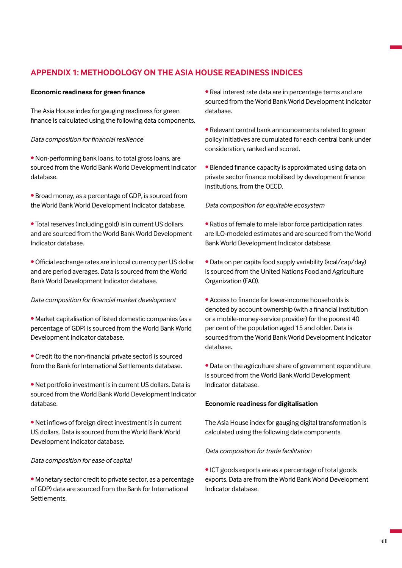# **APPENDIX 1: METHODOLOGY ON THE ASIA HOUSE READINESS INDICES**

## **Economic readiness for green finance**

The Asia House index for gauging readiness for green finance is calculated using the following data components.

## *Data composition for financial resilience*

• Non-performing bank loans, to total gross loans, are sourced from the World Bank World Development Indicator database.

• Broad money, as a percentage of GDP, is sourced from the World Bank World Development Indicator database.

- Total reserves (including gold) is in current US dollars and are sourced from the World Bank World Development Indicator database.
- Official exchange rates are in local currency per US dollar and are period averages. Data is sourced from the World Bank World Development Indicator database.

## *Data composition for financial market development*

- Market capitalisation of listed domestic companies (as a percentage of GDP) is sourced from the World Bank World Development Indicator database.
- Credit (to the non-financial private sector) is sourced from the Bank for International Settlements database.
- Net portfolio investment is in current US dollars. Data is sourced from the World Bank World Development Indicator database.
- Net inflows of foreign direct investment is in current US dollars. Data is sourced from the World Bank World Development Indicator database.

## *Data composition for ease of capital*

• Monetary sector credit to private sector, as a percentage of GDP) data are sourced from the Bank for International Settlements.

• Real interest rate data are in percentage terms and are sourced from the World Bank World Development Indicator database.

• Relevant central bank announcements related to green policy initiatives are cumulated for each central bank under consideration, ranked and scored.

• Blended finance capacity is approximated using data on private sector finance mobilised by development finance institutions, from the OECD.

## *Data composition for equitable ecosystem*

- Ratios of female to male labor force participation rates are ILO-modeled estimates and are sourced from the World Bank World Development Indicator database.
- Data on per capita food supply variability (kcal/cap/day) is sourced from the United Nations Food and Agriculture Organization (FAO).
- Access to finance for lower-income households is denoted by account ownership (with a financial institution or a mobile-money-service provider) for the poorest 40 per cent of the population aged 15 and older. Data is sourced from the World Bank World Development Indicator database.
- Data on the agriculture share of government expenditure is sourced from the World Bank World Development Indicator database.

#### **Economic readiness for digitalisation**

The Asia House index for gauging digital transformation is calculated using the following data components.

## *Data composition for trade facilitation*

• ICT goods exports are as a percentage of total goods exports. Data are from the World Bank World Development Indicator database.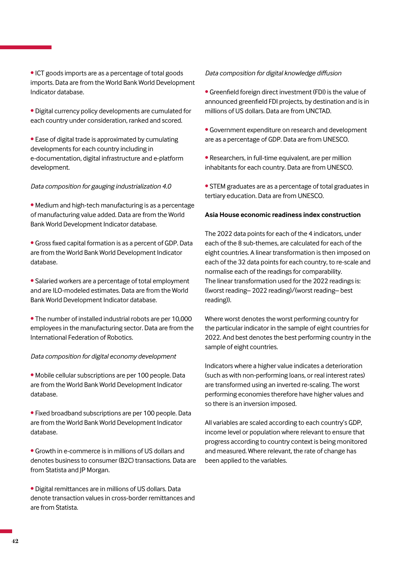- Digital currency policy developments are cumulated for each country under consideration, ranked and scored.
- Ease of digital trade is approximated by cumulating developments for each country including in e-documentation, digital infrastructure and e-platform development.

# *Data composition for gauging industrialization 4.0*

- Medium and high-tech manufacturing is as a percentage of manufacturing value added. Data are from the World Bank World Development Indicator database.
- Gross fixed capital formation is as a percent of GDP. Data are from the World Bank World Development Indicator database.
- Salaried workers are a percentage of total employment and are ILO-modeled estimates. Data are from the World Bank World Development Indicator database.
- The number of installed industrial robots are per 10,000 employees in the manufacturing sector. Data are from the International Federation of Robotics.

# *Data composition for digital economy development*

• Mobile cellular subscriptions are per 100 people. Data are from the World Bank World Development Indicator database.

- Fixed broadband subscriptions are per 100 people. Data are from the World Bank World Development Indicator database.
- Growth in e-commerce is in millions of US dollars and denotes business to consumer (B2C) transactions. Data are from Statista and JP Morgan.
- Digital remittances are in millions of US dollars. Data denote transaction values in cross-border remittances and are from Statista.

# *Data composition for digital knowledge diffusion*

- Greenfield foreign direct investment (FDI) is the value of announced greenfield FDI projects, by destination and is in millions of US dollars. Data are from UNCTAD.
- Government expenditure on research and development are as a percentage of GDP. Data are from UNESCO.
- Researchers, in full-time equivalent, are per million inhabitants for each country. Data are from UNESCO.
- STEM graduates are as a percentage of total graduates in tertiary education. Data are from UNESCO.

# **Asia House economic readiness index construction**

The 2022 data points for each of the 4 indicators, under each of the 8 sub-themes, are calculated for each of the eight countries. A linear transformation is then imposed on each of the 32 data points for each country, to re-scale and normalise each of the readings for comparability. The linear transformation used for the 2022 readings is: ((worst reading– 2022 reading)/(worst reading– best reading)).

Where worst denotes the worst performing country for the particular indicator in the sample of eight countries for 2022. And best denotes the best performing country in the sample of eight countries.

Indicators where a higher value indicates a deterioration (such as with non-performing loans, or real interest rates) are transformed using an inverted re-scaling. The worst performing economies therefore have higher values and so there is an inversion imposed.

All variables are scaled according to each country's GDP, income level or population where relevant to ensure that progress according to country context is being monitored and measured. Where relevant, the rate of change has been applied to the variables.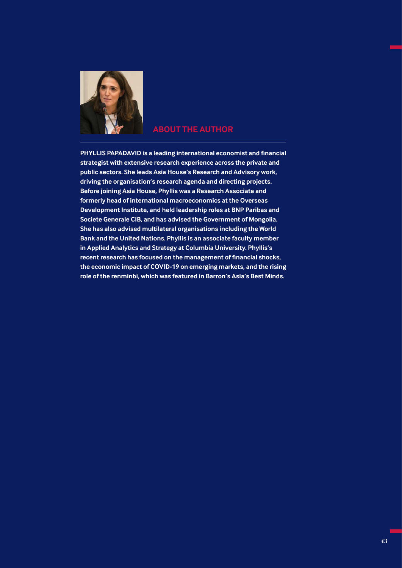

# **ABOUT THE AUTHOR**

**PHYLLIS PAPADAVID is a leading international economist and financial strategist with extensive research experience across the private and public sectors. She leads Asia House's Research and Advisory work, driving the organisation's research agenda and directing projects. Before joining Asia House, Phyllis was a Research Associate and formerly head of international macroeconomics at the Overseas Development Institute, and held leadership roles at BNP Paribas and Societe Generale CIB, and has advised the Government of Mongolia. She has also advised multilateral organisations including the World Bank and the United Nations. Phyllis is an associate faculty member in Applied Analytics and Strategy at Columbia University. Phyllis's recent research has focused on the management of financial shocks, the economic impact of COVID-19 on emerging markets, and the rising role of the renminbi, which was featured in Barron's Asia's Best Minds.**